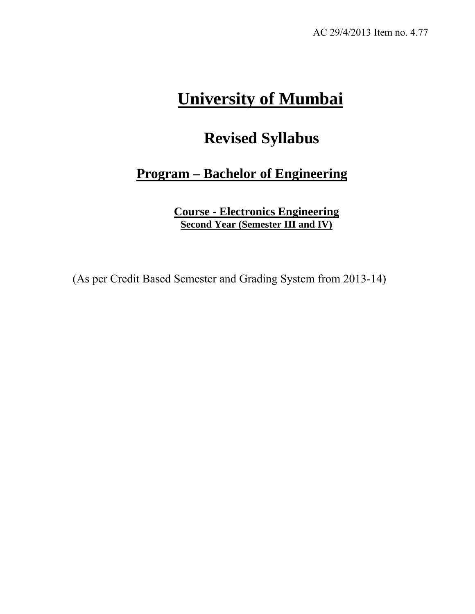# **University of Mumbai**

# **Revised Syllabus**

## **Program – Bachelor of Engineering**

**Course - Electronics Engineering Second Year (Semester III and IV)**

(As per Credit Based Semester and Grading System from 2013-14)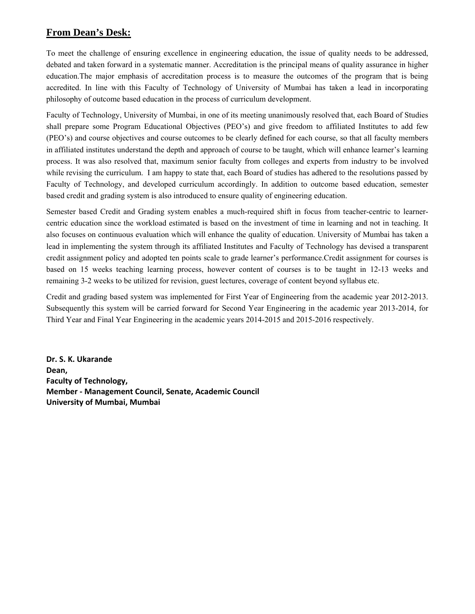#### **From Dean's Desk:**

To meet the challenge of ensuring excellence in engineering education, the issue of quality needs to be addressed, debated and taken forward in a systematic manner. Accreditation is the principal means of quality assurance in higher education.The major emphasis of accreditation process is to measure the outcomes of the program that is being accredited. In line with this Faculty of Technology of University of Mumbai has taken a lead in incorporating philosophy of outcome based education in the process of curriculum development.

Faculty of Technology, University of Mumbai, in one of its meeting unanimously resolved that, each Board of Studies shall prepare some Program Educational Objectives (PEO's) and give freedom to affiliated Institutes to add few (PEO's) and course objectives and course outcomes to be clearly defined for each course, so that all faculty members in affiliated institutes understand the depth and approach of course to be taught, which will enhance learner's learning process. It was also resolved that, maximum senior faculty from colleges and experts from industry to be involved while revising the curriculum. I am happy to state that, each Board of studies has adhered to the resolutions passed by Faculty of Technology, and developed curriculum accordingly. In addition to outcome based education, semester based credit and grading system is also introduced to ensure quality of engineering education.

Semester based Credit and Grading system enables a much-required shift in focus from teacher-centric to learnercentric education since the workload estimated is based on the investment of time in learning and not in teaching. It also focuses on continuous evaluation which will enhance the quality of education. University of Mumbai has taken a lead in implementing the system through its affiliated Institutes and Faculty of Technology has devised a transparent credit assignment policy and adopted ten points scale to grade learner's performance.Credit assignment for courses is based on 15 weeks teaching learning process, however content of courses is to be taught in 12-13 weeks and remaining 3-2 weeks to be utilized for revision, guest lectures, coverage of content beyond syllabus etc.

Credit and grading based system was implemented for First Year of Engineering from the academic year 2012-2013. Subsequently this system will be carried forward for Second Year Engineering in the academic year 2013-2014, for Third Year and Final Year Engineering in the academic years 2014-2015 and 2015-2016 respectively.

**Dr. S. K. Ukarande** Dean, **Faculty of Technology, Member ‐ Management Council, Senate, Academic Council University of Mumbai, Mumbai**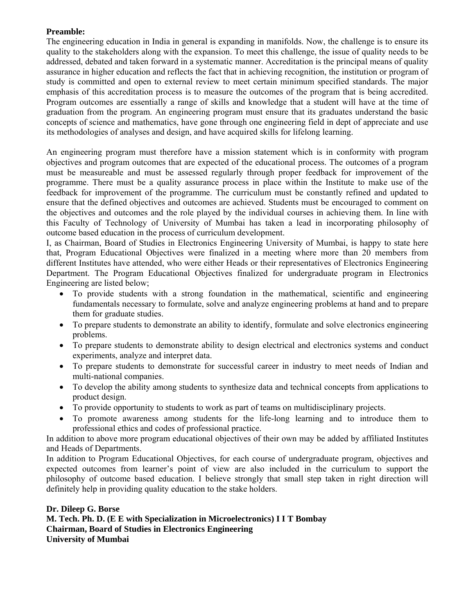#### **Preamble:**

The engineering education in India in general is expanding in manifolds. Now, the challenge is to ensure its quality to the stakeholders along with the expansion. To meet this challenge, the issue of quality needs to be addressed, debated and taken forward in a systematic manner. Accreditation is the principal means of quality assurance in higher education and reflects the fact that in achieving recognition, the institution or program of study is committed and open to external review to meet certain minimum specified standards. The major emphasis of this accreditation process is to measure the outcomes of the program that is being accredited. Program outcomes are essentially a range of skills and knowledge that a student will have at the time of graduation from the program. An engineering program must ensure that its graduates understand the basic concepts of science and mathematics, have gone through one engineering field in dept of appreciate and use its methodologies of analyses and design, and have acquired skills for lifelong learning.

An engineering program must therefore have a mission statement which is in conformity with program objectives and program outcomes that are expected of the educational process. The outcomes of a program must be measureable and must be assessed regularly through proper feedback for improvement of the programme. There must be a quality assurance process in place within the Institute to make use of the feedback for improvement of the programme. The curriculum must be constantly refined and updated to ensure that the defined objectives and outcomes are achieved. Students must be encouraged to comment on the objectives and outcomes and the role played by the individual courses in achieving them. In line with this Faculty of Technology of University of Mumbai has taken a lead in incorporating philosophy of outcome based education in the process of curriculum development.

I, as Chairman, Board of Studies in Electronics Engineering University of Mumbai, is happy to state here that, Program Educational Objectives were finalized in a meeting where more than 20 members from different Institutes have attended, who were either Heads or their representatives of Electronics Engineering Department. The Program Educational Objectives finalized for undergraduate program in Electronics Engineering are listed below;

- To provide students with a strong foundation in the mathematical, scientific and engineering fundamentals necessary to formulate, solve and analyze engineering problems at hand and to prepare them for graduate studies.
- To prepare students to demonstrate an ability to identify, formulate and solve electronics engineering problems.
- To prepare students to demonstrate ability to design electrical and electronics systems and conduct experiments, analyze and interpret data.
- To prepare students to demonstrate for successful career in industry to meet needs of Indian and multi-national companies.
- To develop the ability among students to synthesize data and technical concepts from applications to product design.
- To provide opportunity to students to work as part of teams on multidisciplinary projects.
- To promote awareness among students for the life-long learning and to introduce them to professional ethics and codes of professional practice.

In addition to above more program educational objectives of their own may be added by affiliated Institutes and Heads of Departments.

In addition to Program Educational Objectives, for each course of undergraduate program, objectives and expected outcomes from learner's point of view are also included in the curriculum to support the philosophy of outcome based education. I believe strongly that small step taken in right direction will definitely help in providing quality education to the stake holders.

#### **Dr. Dileep G. Borse**

**M. Tech. Ph. D. (E E with Specialization in Microelectronics) I I T Bombay Chairman, Board of Studies in Electronics Engineering University of Mumbai**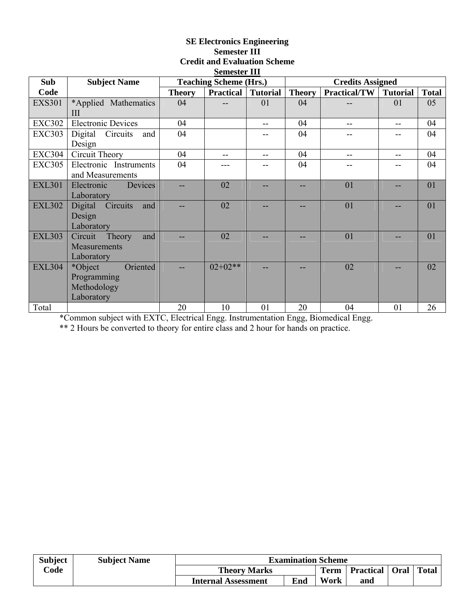#### **SE Electronics Engineering Semester III Credit and Evaluation Scheme Semester III**

|               |                            |               | эсшемет 111                   |                 |               |                         |                 |              |
|---------------|----------------------------|---------------|-------------------------------|-----------------|---------------|-------------------------|-----------------|--------------|
| Sub           | <b>Subject Name</b>        |               | <b>Teaching Scheme (Hrs.)</b> |                 |               | <b>Credits Assigned</b> |                 |              |
| Code          |                            | <b>Theory</b> | <b>Practical</b>              | <b>Tutorial</b> | <b>Theory</b> | Practical/TW            | <b>Tutorial</b> | <b>Total</b> |
| <b>EXS301</b> | *Applied Mathematics       | 04            |                               | 01              | 04            |                         | 01              | 05           |
|               | III                        |               |                               |                 |               |                         |                 |              |
| <b>EXC302</b> | <b>Electronic Devices</b>  | 04            |                               |                 | 04            | --                      |                 | 04           |
| <b>EXC303</b> | Digital Circuits<br>and    | 04            |                               |                 | 04            |                         |                 | 04           |
|               | Design                     |               |                               |                 |               |                         |                 |              |
| <b>EXC304</b> | Circuit Theory             | 04            |                               | --              | 04            |                         |                 | 04           |
| <b>EXC305</b> | Electronic Instruments     | 04            |                               |                 | 04            |                         |                 | 04           |
|               | and Measurements           |               |                               |                 |               |                         |                 |              |
| <b>EXL301</b> | Devices<br>Electronic      |               | 02                            |                 |               | 01                      |                 | 01           |
|               | Laboratory                 |               |                               |                 |               |                         |                 |              |
| <b>EXL302</b> | Circuits<br>Digital<br>and |               | 02                            |                 |               | 01                      |                 | 01           |
|               | Design                     |               |                               |                 |               |                         |                 |              |
|               | Laboratory                 |               |                               |                 |               |                         |                 |              |
| <b>EXL303</b> | Theory<br>Circuit<br>and   |               | 02                            |                 |               | 01                      |                 | 01           |
|               | Measurements               |               |                               |                 |               |                         |                 |              |
|               | Laboratory                 |               |                               |                 |               |                         |                 |              |
| <b>EXL304</b> | Oriented<br>*Object        |               | $02+02**$                     |                 |               | 02                      |                 | 02           |
|               | Programming                |               |                               |                 |               |                         |                 |              |
|               | Methodology                |               |                               |                 |               |                         |                 |              |
|               | Laboratory                 |               |                               |                 |               |                         |                 |              |
| Total         |                            | 20            | 10                            | 01              | 20            | 04                      | 01              | 26           |

\*Common subject with EXTC, Electrical Engg. Instrumentation Engg, Biomedical Engg.

\*\* 2 Hours be converted to theory for entire class and 2 hour for hands on practice.

| <b>Subject</b>  | <b>Subject Name</b> | <b>Examination Scheme</b>         |      |                  |     |              |  |  |  |
|-----------------|---------------------|-----------------------------------|------|------------------|-----|--------------|--|--|--|
| $\mathbf{Code}$ |                     | <b>Theory Marks</b>               | Term | Practical   Oral |     | <b>Total</b> |  |  |  |
|                 |                     | Enà<br><b>Internal Assessment</b> |      | Work             | and |              |  |  |  |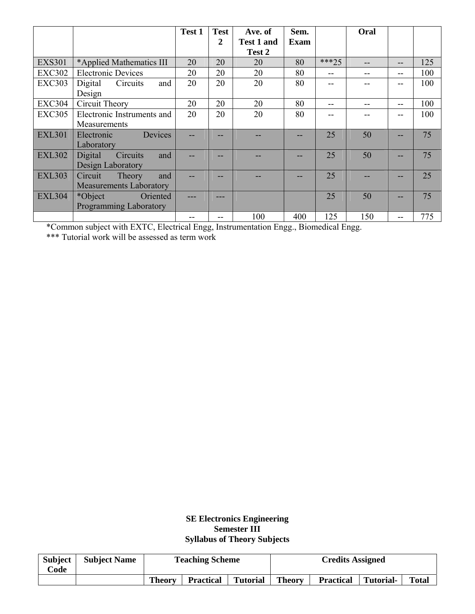|               |                                | Test 1 | <b>Test</b> | Ave. of           | Sem. |         | Oral |    |     |
|---------------|--------------------------------|--------|-------------|-------------------|------|---------|------|----|-----|
|               |                                |        | 2           | <b>Test 1 and</b> | Exam |         |      |    |     |
|               |                                |        |             | Test 2            |      |         |      |    |     |
| <b>EXS301</b> | *Applied Mathematics III       | 20     | 20          | 20                | 80   | $***25$ |      | -- | 125 |
| <b>EXC302</b> | <b>Electronic Devices</b>      | 20     | 20          | 20                | 80   | $- -$   |      | -- | 100 |
| <b>EXC303</b> | Digital<br>Circuits<br>and     | 20     | 20          | 20                | 80   |         |      |    | 100 |
|               | Design                         |        |             |                   |      |         |      |    |     |
| <b>EXC304</b> | Circuit Theory                 | 20     | 20          | 20                | 80   | --      |      | -- | 100 |
| <b>EXC305</b> | Electronic Instruments and     | 20     | 20          | 20                | 80   |         |      |    | 100 |
|               | Measurements                   |        |             |                   |      |         |      |    |     |
| <b>EXL301</b> | Devices<br>Electronic          |        |             |                   |      | 25      | 50   |    | 75  |
|               | Laboratory                     |        |             |                   |      |         |      |    |     |
| <b>EXL302</b> | Circuits<br>Digital<br>and     |        |             |                   |      | 25      | 50   |    | 75  |
|               | Design Laboratory              |        |             |                   |      |         |      |    |     |
| <b>EXL303</b> | Theory<br>Circuit<br>and       |        |             |                   |      | 25      |      |    | 25  |
|               | <b>Measurements Laboratory</b> |        |             |                   |      |         |      |    |     |
| <b>EXL304</b> | *Object<br>Oriented            |        | ---         |                   |      | 25      | 50   |    | 75  |
|               | <b>Programming Laboratory</b>  |        |             |                   |      |         |      |    |     |
|               |                                |        | --          | 100               | 400  | 125     | 150  |    | 775 |

\*Common subject with EXTC, Electrical Engg, Instrumentation Engg., Biomedical Engg.

\*\*\* Tutorial work will be assessed as term work

#### **SE Electronics Engineering Semester III Syllabus of Theory Subjects**

| <b>Subject</b><br>Code | <b>Subject Name</b> | <b>Teaching Scheme</b> |                  |                 |               | <b>Credits Assigned</b> |                  |              |
|------------------------|---------------------|------------------------|------------------|-----------------|---------------|-------------------------|------------------|--------------|
|                        |                     | <b>Theory</b>          | <b>Practical</b> | <b>Tutorial</b> | <b>Theory</b> | <b>Practical</b>        | <b>Tutorial-</b> | <b>Total</b> |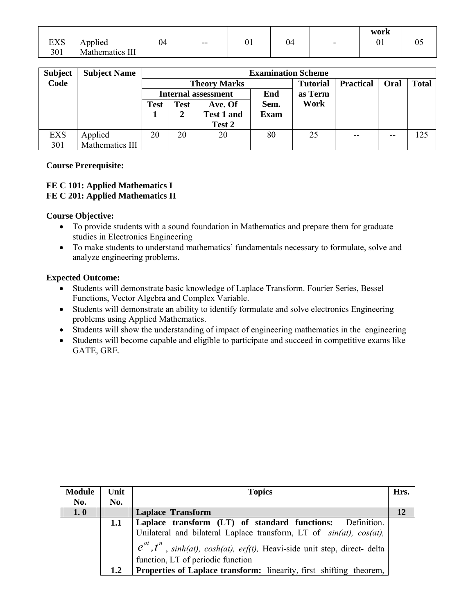|                   |                     |       |    |    |   | work |    |
|-------------------|---------------------|-------|----|----|---|------|----|
| EVC<br><b>LAD</b> | $\cdots$<br>Applied | $- -$ | 01 | 04 | - | U I  | υ. |
| 301               | Mathematics III     |       |    |    |   |      |    |

| <b>Subject</b> | <b>Subject Name</b> |      | <b>Examination Scheme</b> |                            |             |                 |                  |       |              |  |  |
|----------------|---------------------|------|---------------------------|----------------------------|-------------|-----------------|------------------|-------|--------------|--|--|
| Code           |                     |      |                           | <b>Theory Marks</b>        |             | <b>Tutorial</b> | <b>Practical</b> | Oral  | <b>Total</b> |  |  |
|                |                     |      |                           | <b>Internal assessment</b> | End         | as Term         |                  |       |              |  |  |
|                |                     | Test | <b>Test</b>               | Ave. Of                    | Sem.        | Work            |                  |       |              |  |  |
|                |                     |      |                           | <b>Test 1 and</b>          | <b>Exam</b> |                 |                  |       |              |  |  |
|                |                     |      |                           | Test 2                     |             |                 |                  |       |              |  |  |
| <b>EXS</b>     | Applied             | 20   | 20                        | 20                         | 80          | 25              | $- -$            | $- -$ | 125          |  |  |
| 301            | Mathematics III     |      |                           |                            |             |                 |                  |       |              |  |  |

#### **Course Prerequisite:**

#### **FE C 101: Applied Mathematics I FE C 201: Applied Mathematics II**

#### **Course Objective:**

- To provide students with a sound foundation in Mathematics and prepare them for graduate studies in Electronics Engineering
- To make students to understand mathematics' fundamentals necessary to formulate, solve and analyze engineering problems.

#### **Expected Outcome:**

- Students will demonstrate basic knowledge of Laplace Transform. Fourier Series, Bessel Functions, Vector Algebra and Complex Variable.
- Students will demonstrate an ability to identify formulate and solve electronics Engineering problems using Applied Mathematics.
- Students will show the understanding of impact of engineering mathematics in the engineering
- Students will become capable and eligible to participate and succeed in competitive exams like GATE, GRE.

| <b>Module</b> | Unit | <b>Topics</b>                                                                                                                                                                                                                                                    | Hrs. |
|---------------|------|------------------------------------------------------------------------------------------------------------------------------------------------------------------------------------------------------------------------------------------------------------------|------|
| No.           | No.  |                                                                                                                                                                                                                                                                  |      |
| 1.0           |      | <b>Laplace Transform</b>                                                                                                                                                                                                                                         |      |
|               | 1.1  | Laplace transform (LT) of standard functions: Definition.<br>Unilateral and bilateral Laplace transform, LT of $sin(at)$ , $cos(at)$ ,<br>$e^{at}$ , $t^n$ , sinh(at), cosh(at), erf(t), Heavi-side unit step, direct-delta<br>function, LT of periodic function |      |
|               | 1.2  | <b>Properties of Laplace transform:</b> linearity, first shifting theorem,                                                                                                                                                                                       |      |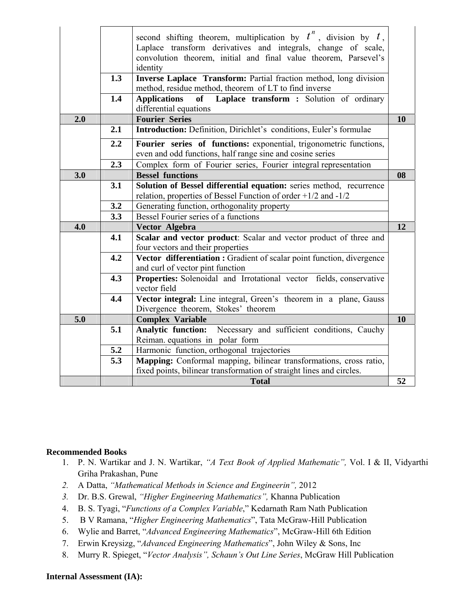|     |       | second shifting theorem, multiplication by $t^n$ , division by $t$ ,<br>Laplace transform derivatives and integrals, change of scale,<br>convolution theorem, initial and final value theorem, Parsevel's |           |
|-----|-------|-----------------------------------------------------------------------------------------------------------------------------------------------------------------------------------------------------------|-----------|
|     |       | identity                                                                                                                                                                                                  |           |
|     | 1.3   | Inverse Laplace Transform: Partial fraction method, long division<br>method, residue method, theorem of LT to find inverse                                                                                |           |
|     | 1.4   | Laplace transform : Solution of ordinary<br><b>Applications</b><br>of<br>differential equations                                                                                                           |           |
| 2.0 |       | <b>Fourier Series</b>                                                                                                                                                                                     | <b>10</b> |
|     | 2.1   | Introduction: Definition, Dirichlet's conditions, Euler's formulae                                                                                                                                        |           |
|     |       |                                                                                                                                                                                                           |           |
|     | 2.2   | Fourier series of functions: exponential, trigonometric functions,<br>even and odd functions, half range sine and cosine series                                                                           |           |
|     | 2.3   | Complex form of Fourier series, Fourier integral representation                                                                                                                                           |           |
| 3.0 |       | <b>Bessel functions</b>                                                                                                                                                                                   | 08        |
|     | 3.1   | Solution of Bessel differential equation: series method, recurrence<br>relation, properties of Bessel Function of order $+1/2$ and $-1/2$                                                                 |           |
|     | 3.2   | Generating function, orthogonality property                                                                                                                                                               |           |
|     | 3.3   | Bessel Fourier series of a functions                                                                                                                                                                      |           |
| 4.0 |       | Vector Algebra                                                                                                                                                                                            | 12        |
|     | 4.1   | Scalar and vector product: Scalar and vector product of three and<br>four vectors and their properties                                                                                                    |           |
|     | 4.2   | Vector differentiation : Gradient of scalar point function, divergence                                                                                                                                    |           |
|     |       | and curl of vector pint function                                                                                                                                                                          |           |
|     | 4.3   | Properties: Solenoidal and Irrotational vector fields, conservative<br>vector field                                                                                                                       |           |
|     | 4.4   | Vector integral: Line integral, Green's theorem in a plane, Gauss<br>Divergence theorem, Stokes' theorem                                                                                                  |           |
| 5.0 |       | <b>Complex Variable</b>                                                                                                                                                                                   | 10        |
|     | 5.1   | Analytic function: Necessary and sufficient conditions, Cauchy                                                                                                                                            |           |
|     |       | Reiman equations in polar form                                                                                                                                                                            |           |
|     | $5.2$ | Harmonic function, orthogonal trajectories                                                                                                                                                                |           |
|     | 5.3   | Mapping: Conformal mapping, bilinear transformations, cross ratio,                                                                                                                                        |           |
|     |       | fixed points, bilinear transformation of straight lines and circles.                                                                                                                                      |           |
|     |       | <b>Total</b>                                                                                                                                                                                              | 52        |

#### **Recommended Books**

- 1. P. N. Wartikar and J. N. Wartikar, *"A Text Book of Applied Mathematic",* Vol. I & II, Vidyarthi Griha Prakashan, Pune
- *2.* A Datta, *"Mathematical Methods in Science and Engineerin",* 2012
- *3.* Dr. B.S. Grewal, *"Higher Engineering Mathematics",* Khanna Publication
- 4. B. S. Tyagi, "*Functions of a Complex Variable*," Kedarnath Ram Nath Publication
- 5. B V Ramana, "*Higher Engineering Mathematics*", Tata McGraw-Hill Publication
- 6. Wylie and Barret, "*Advanced Engineering Mathematics*", McGraw-Hill 6th Edition
- 7. Erwin Kreysizg, "*Advanced Engineering Mathematics*", John Wiley & Sons, Inc
- 8. Murry R. Spieget, "*Vector Analysis", Schaun's Out Line Series*, McGraw Hill Publication

#### **Internal Assessment (IA):**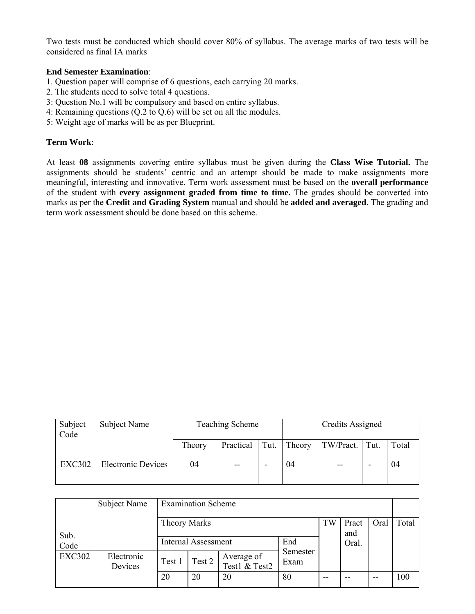Two tests must be conducted which should cover 80% of syllabus. The average marks of two tests will be considered as final IA marks

#### **End Semester Examination**:

- 1. Question paper will comprise of 6 questions, each carrying 20 marks.
- 2. The students need to solve total 4 questions.
- 3: Question No.1 will be compulsory and based on entire syllabus.
- 4: Remaining questions (Q.2 to Q.6) will be set on all the modules.
- 5: Weight age of marks will be as per Blueprint.

#### **Term Work**:

At least **08** assignments covering entire syllabus must be given during the **Class Wise Tutorial.** The assignments should be students' centric and an attempt should be made to make assignments more meaningful, interesting and innovative. Term work assessment must be based on the **overall performance** of the student with **every assignment graded from time to time.** The grades should be converted into marks as per the **Credit and Grading System** manual and should be **added and averaged**. The grading and term work assessment should be done based on this scheme.

| Subject<br>Code | Subject Name              |        | <b>Teaching Scheme</b> | Credits Assigned |        |                |   |       |
|-----------------|---------------------------|--------|------------------------|------------------|--------|----------------|---|-------|
|                 |                           | Theory | Practical              | Tut.             | Theory | TW/Pract. Tut. |   | Total |
| <b>EXC302</b>   | <b>Electronic Devices</b> | 04     | $- -$                  |                  | 04     | $- -$          | - | 04    |

|               | Subject Name          | <b>Examination Scheme</b>         |        |                             |                  |    |              |       |       |
|---------------|-----------------------|-----------------------------------|--------|-----------------------------|------------------|----|--------------|-------|-------|
| Sub.          |                       | <b>Theory Marks</b>               |        |                             |                  | TW | Pract<br>and | Oral  | Total |
| Code          |                       | End<br><b>Internal Assessment</b> |        |                             |                  |    | Oral.        |       |       |
| <b>EXC302</b> | Electronic<br>Devices | Test 1                            | Test 2 | Average of<br>Test1 & Test2 | Semester<br>Exam |    |              |       |       |
|               |                       | 20                                | 20     | 20                          | 80               | -- |              | $- -$ | 100   |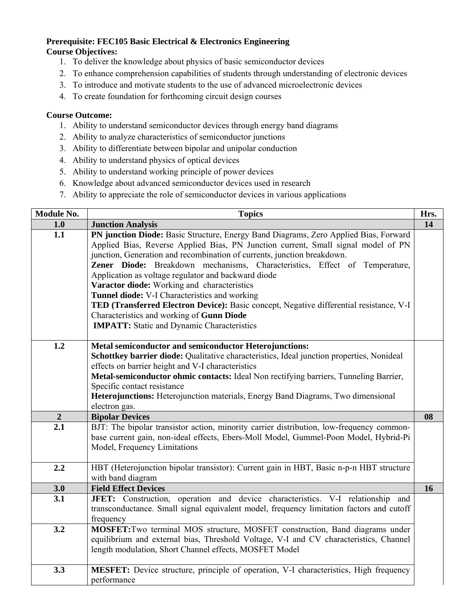#### **Prerequisite: FEC105 Basic Electrical & Electronics Engineering Course Objectives:**

- 1. To deliver the knowledge about physics of basic semiconductor devices
- 2. To enhance comprehension capabilities of students through understanding of electronic devices
- 3. To introduce and motivate students to the use of advanced microelectronic devices
- 4. To create foundation for forthcoming circuit design courses

#### **Course Outcome:**

- 1. Ability to understand semiconductor devices through energy band diagrams
- 2. Ability to analyze characteristics of semiconductor junctions
- 3. Ability to differentiate between bipolar and unipolar conduction
- 4. Ability to understand physics of optical devices
- 5. Ability to understand working principle of power devices
- 6. Knowledge about advanced semiconductor devices used in research
- 7. Ability to appreciate the role of semiconductor devices in various applications

| Module No.  | <b>Topics</b>                                                                                                                                                                                                                                                                                                                                                                                                                                                                                                                                                                                                                                                                          | Hrs. |
|-------------|----------------------------------------------------------------------------------------------------------------------------------------------------------------------------------------------------------------------------------------------------------------------------------------------------------------------------------------------------------------------------------------------------------------------------------------------------------------------------------------------------------------------------------------------------------------------------------------------------------------------------------------------------------------------------------------|------|
| 1.0         | <b>Junction Analysis</b>                                                                                                                                                                                                                                                                                                                                                                                                                                                                                                                                                                                                                                                               | 14   |
| 1.1         | PN junction Diode: Basic Structure, Energy Band Diagrams, Zero Applied Bias, Forward<br>Applied Bias, Reverse Applied Bias, PN Junction current, Small signal model of PN<br>junction, Generation and recombination of currents, junction breakdown.<br>Zener Diode: Breakdown mechanisms, Characteristics, Effect of Temperature,<br>Application as voltage regulator and backward diode<br>Varactor diode: Working and characteristics<br>Tunnel diode: V-I Characteristics and working<br>TED (Transferred Electron Device): Basic concept, Negative differential resistance, V-I<br>Characteristics and working of Gunn Diode<br><b>IMPATT:</b> Static and Dynamic Characteristics |      |
| 1.2         | <b>Metal semiconductor and semiconductor Heterojunctions:</b><br>Schottkey barrier diode: Qualitative characteristics, Ideal junction properties, Nonideal<br>effects on barrier height and V-I characteristics<br>Metal-semiconductor ohmic contacts: Ideal Non rectifying barriers, Tunneling Barrier,<br>Specific contact resistance<br>Heterojunctions: Heterojunction materials, Energy Band Diagrams, Two dimensional<br>electron gas.                                                                                                                                                                                                                                           |      |
| $\mathbf 2$ | <b>Bipolar Devices</b>                                                                                                                                                                                                                                                                                                                                                                                                                                                                                                                                                                                                                                                                 | 08   |
| 2.1         | BJT: The bipolar transistor action, minority carrier distribution, low-frequency common-<br>base current gain, non-ideal effects, Ebers-Moll Model, Gummel-Poon Model, Hybrid-Pi<br>Model, Frequency Limitations                                                                                                                                                                                                                                                                                                                                                                                                                                                                       |      |
| 2.2         | HBT (Heterojunction bipolar transistor): Current gain in HBT, Basic n-p-n HBT structure<br>with band diagram                                                                                                                                                                                                                                                                                                                                                                                                                                                                                                                                                                           |      |
| 3.0         | <b>Field Effect Devices</b>                                                                                                                                                                                                                                                                                                                                                                                                                                                                                                                                                                                                                                                            | 16   |
| 3.1         | JFET: Construction, operation and device characteristics. V-I relationship and<br>transconductance. Small signal equivalent model, frequency limitation factors and cutoff<br>frequency                                                                                                                                                                                                                                                                                                                                                                                                                                                                                                |      |
| 3.2         | <b>MOSFET:</b> Two terminal MOS structure, MOSFET construction, Band diagrams under<br>equilibrium and external bias, Threshold Voltage, V-I and CV characteristics, Channel<br>length modulation, Short Channel effects, MOSFET Model                                                                                                                                                                                                                                                                                                                                                                                                                                                 |      |
| 3.3         | <b>MESFET:</b> Device structure, principle of operation, V-I characteristics, High frequency<br>performance                                                                                                                                                                                                                                                                                                                                                                                                                                                                                                                                                                            |      |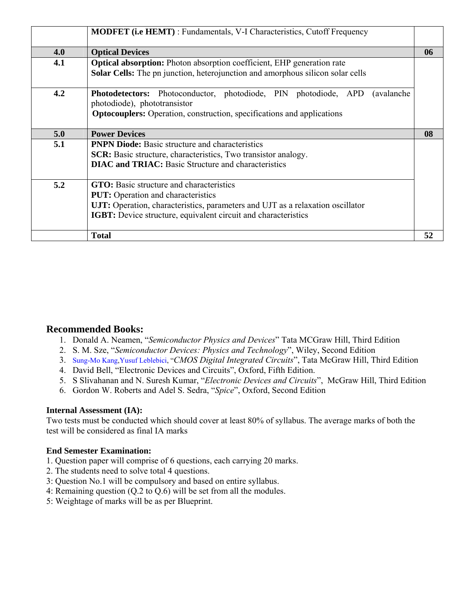|     | <b>MODFET</b> (i.e HEMT): Fundamentals, V-I Characteristics, Cutoff Frequency                                                                                                                                                                    |    |
|-----|--------------------------------------------------------------------------------------------------------------------------------------------------------------------------------------------------------------------------------------------------|----|
| 4.0 | <b>Optical Devices</b>                                                                                                                                                                                                                           | 06 |
| 4.1 | Optical absorption: Photon absorption coefficient, EHP generation rate<br>Solar Cells: The pn junction, heterojunction and amorphous silicon solar cells                                                                                         |    |
| 4.2 | <b>Photodetectors:</b> Photoconductor, photodiode, PIN photodiode, APD (avalanche<br>photodiode), phototransistor<br><b>Optocouplers:</b> Operation, construction, specifications and applications                                               |    |
| 5.0 | <b>Power Devices</b>                                                                                                                                                                                                                             | 08 |
| 5.1 | <b>PNPN Diode:</b> Basic structure and characteristics<br><b>SCR:</b> Basic structure, characteristics, Two transistor analogy.<br><b>DIAC and TRIAC:</b> Basic Structure and characteristics                                                    |    |
| 5.2 | <b>GTO:</b> Basic structure and characteristics<br><b>PUT:</b> Operation and characteristics<br>UJT: Operation, characteristics, parameters and UJT as a relaxation oscillator<br>IGBT: Device structure, equivalent circuit and characteristics |    |
|     | <b>Total</b>                                                                                                                                                                                                                                     | 52 |

#### **Recommended Books:**

- 1. Donald A. Neamen, "*Semiconductor Physics and Devices*" Tata MCGraw Hill, Third Edition
- 2. S. M. Sze, "*Semiconductor Devices: Physics and Technology*", Wiley, Second Edition
- 3. Sung-Mo Kang,Yusuf Leblebici, "*CMOS Digital Integrated Circuits*", Tata McGraw Hill, Third Edition
- 4. David Bell, "Electronic Devices and Circuits", Oxford, Fifth Edition.
- 5. S Slivahanan and N. Suresh Kumar, "*Electronic Devices and Circuits*", McGraw Hill, Third Edition
- 6. Gordon W. Roberts and Adel S. Sedra, "*Spice*", Oxford, Second Edition

#### **Internal Assessment (IA):**

Two tests must be conducted which should cover at least 80% of syllabus. The average marks of both the test will be considered as final IA marks

- 1. Question paper will comprise of 6 questions, each carrying 20 marks.
- 2. The students need to solve total 4 questions.
- 3: Question No.1 will be compulsory and based on entire syllabus.
- 4: Remaining question (Q.2 to Q.6) will be set from all the modules.
- 5: Weightage of marks will be as per Blueprint.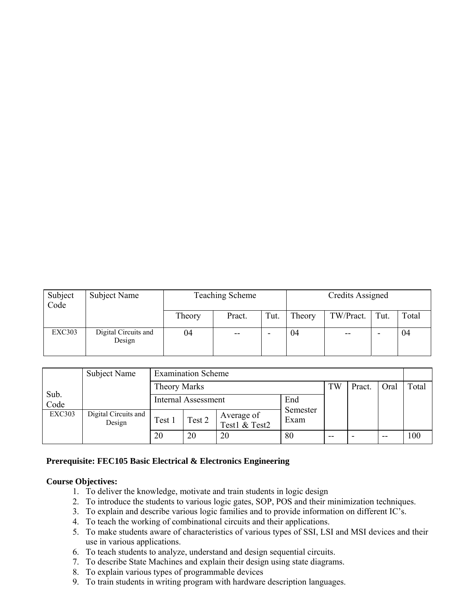| Subject<br>Code | Subject Name                   |        | <b>Teaching Scheme</b> | Credits Assigned |        |           |      |       |
|-----------------|--------------------------------|--------|------------------------|------------------|--------|-----------|------|-------|
|                 |                                | Theory | Pract.                 | Tut.             | Theory | TW/Pract. | Tut. | Total |
| <b>EXC303</b>   | Digital Circuits and<br>Design | 04     | --                     | -                | 04     | $- -$     |      | 04    |

|               | Subject Name<br><b>Examination Scheme</b> |                            |        |                             |                  |    |                          |       |       |
|---------------|-------------------------------------------|----------------------------|--------|-----------------------------|------------------|----|--------------------------|-------|-------|
|               |                                           | <b>Theory Marks</b>        |        |                             |                  |    | Pract.                   | Oral  | Total |
| Sub.<br>Code  |                                           | <b>Internal Assessment</b> |        |                             | End              |    |                          |       |       |
| <b>EXC303</b> | Digital Circuits and<br>Design            | Test 1                     | Test 2 | Average of<br>Test1 & Test2 | Semester<br>Exam |    |                          |       |       |
|               |                                           | 20                         | 20     | 20                          | 80               | -- | $\overline{\phantom{0}}$ | $- -$ | 100   |

#### **Prerequisite: FEC105 Basic Electrical & Electronics Engineering**

#### **Course Objectives:**

- 1. To deliver the knowledge, motivate and train students in logic design
- 2. To introduce the students to various logic gates, SOP, POS and their minimization techniques.
- 3. To explain and describe various logic families and to provide information on different IC's.
- 4. To teach the working of combinational circuits and their applications.
- 5. To make students aware of characteristics of various types of SSI, LSI and MSI devices and their use in various applications.
- 6. To teach students to analyze, understand and design sequential circuits.
- 7. To describe State Machines and explain their design using state diagrams.
- 8. To explain various types of programmable devices
- 9. To train students in writing program with hardware description languages.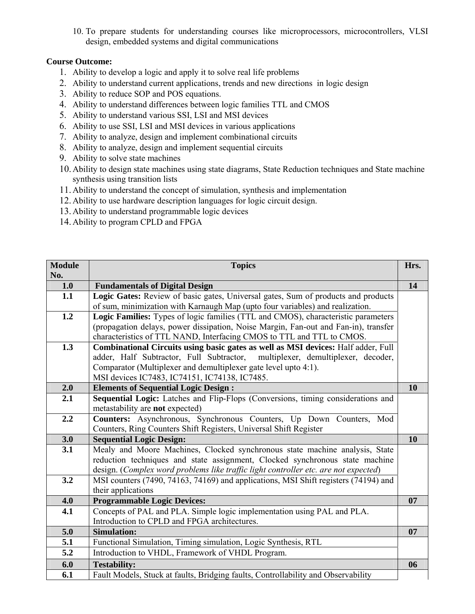10. To prepare students for understanding courses like microprocessors, microcontrollers, VLSI design, embedded systems and digital communications

#### **Course Outcome:**

- 1. Ability to develop a logic and apply it to solve real life problems
- 2. Ability to understand current applications, trends and new directions in logic design
- 3. Ability to reduce SOP and POS equations.
- 4. Ability to understand differences between logic families TTL and CMOS
- 5. Ability to understand various SSI, LSI and MSI devices
- 6. Ability to use SSI, LSI and MSI devices in various applications
- 7. Ability to analyze, design and implement combinational circuits
- 8. Ability to analyze, design and implement sequential circuits
- 9. Ability to solve state machines
- 10. Ability to design state machines using state diagrams, State Reduction techniques and State machine synthesis using transition lists
- 11. Ability to understand the concept of simulation, synthesis and implementation
- 12. Ability to use hardware description languages for logic circuit design.
- 13. Ability to understand programmable logic devices
- 14. Ability to program CPLD and FPGA

| <b>Module</b> | <b>Topics</b>                                                                                                                            | Hrs. |
|---------------|------------------------------------------------------------------------------------------------------------------------------------------|------|
| No.<br>1.0    | <b>Fundamentals of Digital Design</b>                                                                                                    | 14   |
| 1.1           | Logic Gates: Review of basic gates, Universal gates, Sum of products and products                                                        |      |
|               | of sum, minimization with Karnaugh Map (upto four variables) and realization.                                                            |      |
| 1.2           | Logic Families: Types of logic families (TTL and CMOS), characteristic parameters                                                        |      |
|               | (propagation delays, power dissipation, Noise Margin, Fan-out and Fan-in), transfer                                                      |      |
|               | characteristics of TTL NAND, Interfacing CMOS to TTL and TTL to CMOS.                                                                    |      |
| 1.3           | Combinational Circuits using basic gates as well as MSI devices: Half adder, Full                                                        |      |
|               | adder, Half Subtractor, Full Subtractor, multiplexer, demultiplexer, decoder,                                                            |      |
|               | Comparator (Multiplexer and demultiplexer gate level upto 4:1).                                                                          |      |
|               | MSI devices IC7483, IC74151, IC74138, IC7485.                                                                                            |      |
| 2.0           | <b>Elements of Sequential Logic Design:</b>                                                                                              | 10   |
| 2.1           | Sequential Logic: Latches and Flip-Flops (Conversions, timing considerations and                                                         |      |
|               | metastability are not expected)                                                                                                          |      |
| 2.2           | Counters: Asynchronous, Synchronous Counters, Up Down Counters, Mod<br>Counters, Ring Counters Shift Registers, Universal Shift Register |      |
| 3.0           | <b>Sequential Logic Design:</b>                                                                                                          | 10   |
| 3.1           | Mealy and Moore Machines, Clocked synchronous state machine analysis, State                                                              |      |
|               | reduction techniques and state assignment, Clocked synchronous state machine                                                             |      |
|               | design. (Complex word problems like traffic light controller etc. are not expected)                                                      |      |
| 3.2           | MSI counters (7490, 74163, 74169) and applications, MSI Shift registers (74194) and                                                      |      |
|               | their applications                                                                                                                       |      |
| 4.0           | <b>Programmable Logic Devices:</b>                                                                                                       | 07   |
| 4.1           | Concepts of PAL and PLA. Simple logic implementation using PAL and PLA.                                                                  |      |
|               | Introduction to CPLD and FPGA architectures.                                                                                             |      |
| 5.0           | <b>Simulation:</b>                                                                                                                       | 07   |
| 5.1           | Functional Simulation, Timing simulation, Logic Synthesis, RTL                                                                           |      |
| 5.2           | Introduction to VHDL, Framework of VHDL Program.                                                                                         |      |
| 6.0           | <b>Testability:</b>                                                                                                                      | 06   |
| 6.1           | Fault Models, Stuck at faults, Bridging faults, Controllability and Observability                                                        |      |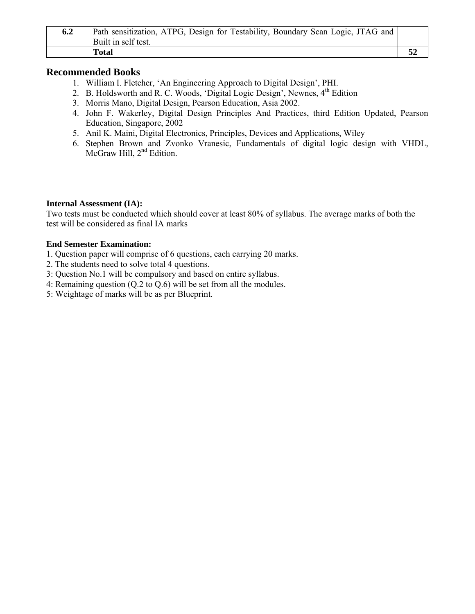| 6.2 | Path sensitization, ATPG, Design for Testability, Boundary Scan Logic, JTAG and |  |
|-----|---------------------------------------------------------------------------------|--|
|     | Built in self test.                                                             |  |
|     | <b>Total</b>                                                                    |  |

#### **Recommended Books**

- 1. William I. Fletcher, 'An Engineering Approach to Digital Design', PHI.
- 2. B. Holdsworth and R. C. Woods, 'Digital Logic Design', Newnes,  $4<sup>th</sup>$  Edition
- 3. Morris Mano, Digital Design, Pearson Education, Asia 2002.
- 4. John F. Wakerley, Digital Design Principles And Practices, third Edition Updated, Pearson Education, Singapore, 2002
- 5. Anil K. Maini, Digital Electronics, Principles, Devices and Applications, Wiley
- 6. Stephen Brown and Zvonko Vranesic, Fundamentals of digital logic design with VHDL, McGraw Hill, 2<sup>nd</sup> Edition.

#### **Internal Assessment (IA):**

Two tests must be conducted which should cover at least 80% of syllabus. The average marks of both the test will be considered as final IA marks

- 1. Question paper will comprise of 6 questions, each carrying 20 marks.
- 2. The students need to solve total 4 questions.
- 3: Question No.1 will be compulsory and based on entire syllabus.
- 4: Remaining question (Q.2 to Q.6) will be set from all the modules.
- 5: Weightage of marks will be as per Blueprint.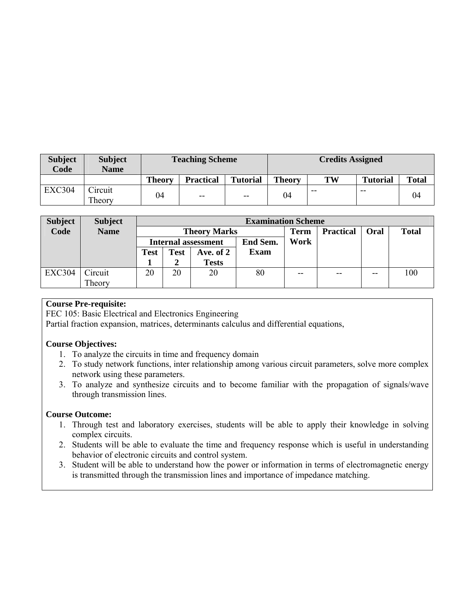| <b>Subject</b><br>Code | <b>Subject</b><br><b>Name</b> |               | <b>Teaching Scheme</b>   |                 | <b>Credits Assigned</b> |       |                 |              |  |  |
|------------------------|-------------------------------|---------------|--------------------------|-----------------|-------------------------|-------|-----------------|--------------|--|--|
|                        |                               | <b>Theory</b> | <b>Practical</b>         | <b>Tutorial</b> | <b>Theory</b>           | TW    | <b>Tutorial</b> | <b>Total</b> |  |  |
| <b>EXC304</b>          | Circuit<br>Theory             | 04            | $\overline{\phantom{m}}$ | $-$             | 04                      | $- -$ | $- -$           | 04           |  |  |

| <b>Subject</b> | <b>Subject</b> |                            | <b>Examination Scheme</b> |              |          |       |                  |             |              |  |
|----------------|----------------|----------------------------|---------------------------|--------------|----------|-------|------------------|-------------|--------------|--|
| Code           | <b>Name</b>    |                            | <b>Theory Marks</b>       |              |          |       | <b>Practical</b> | <b>Oral</b> | <b>Total</b> |  |
|                |                | <b>Internal assessment</b> |                           |              | End Sem. | Work  |                  |             |              |  |
|                |                | <b>Test</b>                | <b>Test</b>               | Ave. of 2    | Exam     |       |                  |             |              |  |
|                |                |                            |                           | <b>Tests</b> |          |       |                  |             |              |  |
| <b>EXC304</b>  | Circuit        | 20                         | 20                        | 20           | 80       | $- -$ | $- -$            | $- -$       | 100          |  |
|                | Theory         |                            |                           |              |          |       |                  |             |              |  |

#### **Course Pre-requisite:**

FEC 105: Basic Electrical and Electronics Engineering

Partial fraction expansion, matrices, determinants calculus and differential equations,

#### **Course Objectives:**

- 1. To analyze the circuits in time and frequency domain
- 2. To study network functions, inter relationship among various circuit parameters, solve more complex network using these parameters.
- 3. To analyze and synthesize circuits and to become familiar with the propagation of signals/wave through transmission lines.

#### **Course Outcome:**

- 1. Through test and laboratory exercises, students will be able to apply their knowledge in solving complex circuits.
- 2. Students will be able to evaluate the time and frequency response which is useful in understanding behavior of electronic circuits and control system.
- 3. Student will be able to understand how the power or information in terms of electromagnetic energy is transmitted through the transmission lines and importance of impedance matching.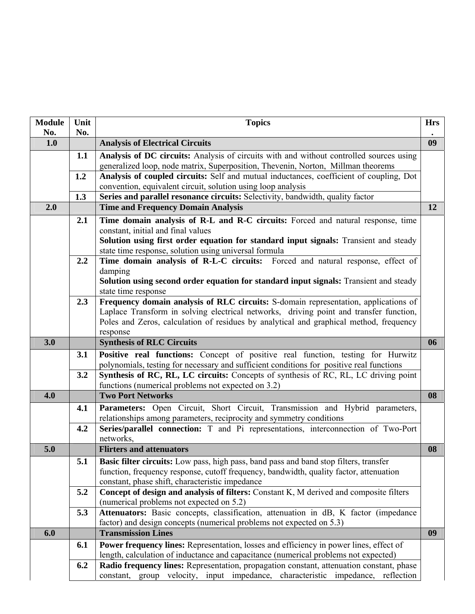| <b>Module</b> | Unit       | <b>Topics</b>                                                                                                                                                                    | <b>Hrs</b> |
|---------------|------------|----------------------------------------------------------------------------------------------------------------------------------------------------------------------------------|------------|
| No.           | No.        |                                                                                                                                                                                  |            |
| 1.0           |            | <b>Analysis of Electrical Circuits</b>                                                                                                                                           | 09         |
|               | 1.1        | Analysis of DC circuits: Analysis of circuits with and without controlled sources using                                                                                          |            |
|               |            | generalized loop, node matrix, Superposition, Thevenin, Norton, Millman theorems                                                                                                 |            |
|               | 1.2        | Analysis of coupled circuits: Self and mutual inductances, coefficient of coupling, Dot                                                                                          |            |
|               |            | convention, equivalent circuit, solution using loop analysis                                                                                                                     |            |
|               | 1.3        | Series and parallel resonance circuits: Selectivity, bandwidth, quality factor                                                                                                   |            |
| 2.0           |            | <b>Time and Frequency Domain Analysis</b>                                                                                                                                        | 12         |
|               | 2.1        | Time domain analysis of R-L and R-C circuits: Forced and natural response, time                                                                                                  |            |
|               |            | constant, initial and final values                                                                                                                                               |            |
|               |            | Solution using first order equation for standard input signals: Transient and steady                                                                                             |            |
|               |            | state time response, solution using universal formula                                                                                                                            |            |
|               | 2.2        | Time domain analysis of R-L-C circuits: Forced and natural response, effect of                                                                                                   |            |
|               |            | damping                                                                                                                                                                          |            |
|               |            | Solution using second order equation for standard input signals: Transient and steady                                                                                            |            |
|               |            | state time response                                                                                                                                                              |            |
|               | 2.3        | Frequency domain analysis of RLC circuits: S-domain representation, applications of                                                                                              |            |
|               |            | Laplace Transform in solving electrical networks, driving point and transfer function,<br>Poles and Zeros, calculation of residues by analytical and graphical method, frequency |            |
|               |            | response                                                                                                                                                                         |            |
| 3.0           |            | <b>Synthesis of RLC Circuits</b>                                                                                                                                                 | 06         |
|               |            |                                                                                                                                                                                  |            |
|               | <b>3.1</b> | Positive real functions: Concept of positive real function, testing for Hurwitz<br>polynomials, testing for necessary and sufficient conditions for positive real functions      |            |
|               | 3.2        | Synthesis of RC, RL, LC circuits: Concepts of synthesis of RC, RL, LC driving point                                                                                              |            |
|               |            | functions (numerical problems not expected on 3.2)                                                                                                                               |            |
| 4.0           |            | <b>Two Port Networks</b>                                                                                                                                                         | 08         |
|               | 4.1        | Parameters: Open Circuit, Short Circuit, Transmission and Hybrid parameters,                                                                                                     |            |
|               |            | relationships among parameters, reciprocity and symmetry conditions                                                                                                              |            |
|               | 4.2        | Series/parallel connection: T and Pi representations, interconnection of Two-Port                                                                                                |            |
|               |            | networks,                                                                                                                                                                        |            |
| 5.0           |            | <b>Flirters and attenuators</b>                                                                                                                                                  | 08         |
|               | 5.1        | Basic filter circuits: Low pass, high pass, band pass and band stop filters, transfer                                                                                            |            |
|               |            | function, frequency response, cutoff frequency, bandwidth, quality factor, attenuation                                                                                           |            |
|               |            | constant, phase shift, characteristic impedance                                                                                                                                  |            |
|               | 5.2        | Concept of design and analysis of filters: Constant K, M derived and composite filters                                                                                           |            |
|               |            | (numerical problems not expected on 5.2)                                                                                                                                         |            |
|               | 5.3        | Attenuators: Basic concepts, classification, attenuation in dB, K factor (impedance                                                                                              |            |
|               |            | factor) and design concepts (numerical problems not expected on 5.3)                                                                                                             |            |
| 6.0           |            | <b>Transmission Lines</b>                                                                                                                                                        | 09         |
|               | 6.1        | <b>Power frequency lines:</b> Representation, losses and efficiency in power lines, effect of                                                                                    |            |
|               |            | length, calculation of inductance and capacitance (numerical problems not expected)                                                                                              |            |
|               | 6.2        | Radio frequency lines: Representation, propagation constant, attenuation constant, phase                                                                                         |            |
|               |            | constant, group velocity, input impedance, characteristic impedance, reflection                                                                                                  |            |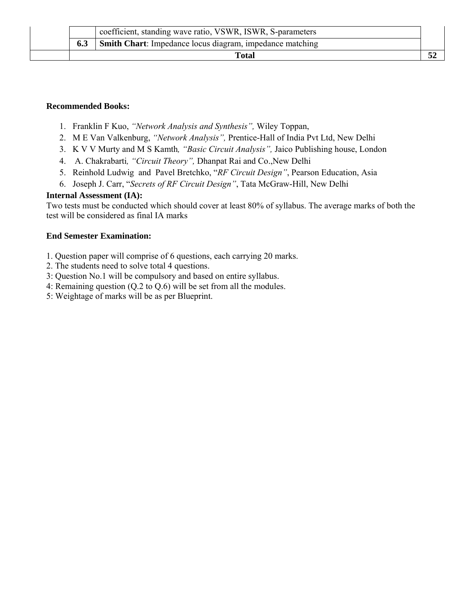|     | Total                                                      |  |
|-----|------------------------------------------------------------|--|
| 6.3 | Smith Chart: Impedance locus diagram, impedance matching   |  |
|     | coefficient, standing wave ratio, VSWR, ISWR, S-parameters |  |

#### **Recommended Books:**

- 1. Franklin F Kuo, *"Network Analysis and Synthesis",* Wiley Toppan,
- 2. M E Van Valkenburg, *"Network Analysis",* Prentice-Hall of India Pvt Ltd, New Delhi
- 3. K V V Murty and M S Kamth*, "Basic Circuit Analysis",* Jaico Publishing house, London
- 4. A. Chakrabarti*, "Circuit Theory",* Dhanpat Rai and Co.,New Delhi
- 5. Reinhold Ludwig and Pavel Bretchko, "*RF Circuit Design"*, Pearson Education, Asia
- 6. Joseph J. Carr, "*Secrets of RF Circuit Design"*, Tata McGraw-Hill, New Delhi

#### **Internal Assessment (IA):**

Two tests must be conducted which should cover at least 80% of syllabus. The average marks of both the test will be considered as final IA marks

- 1. Question paper will comprise of 6 questions, each carrying 20 marks.
- 2. The students need to solve total 4 questions.
- 3: Question No.1 will be compulsory and based on entire syllabus.
- 4: Remaining question (Q.2 to Q.6) will be set from all the modules.
- 5: Weightage of marks will be as per Blueprint.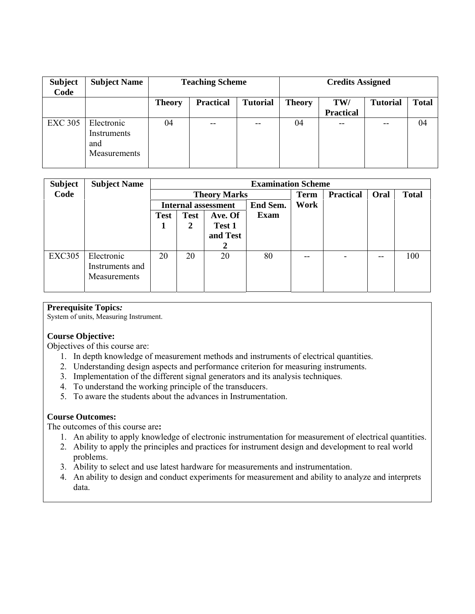| <b>Subject</b><br>Code | <b>Subject Name</b>                              |               | <b>Teaching Scheme</b> |                 | <b>Credits Assigned</b> |                         |                 |              |  |
|------------------------|--------------------------------------------------|---------------|------------------------|-----------------|-------------------------|-------------------------|-----------------|--------------|--|
|                        |                                                  | <b>Theory</b> | <b>Practical</b>       | <b>Tutorial</b> | <b>Theory</b>           | TW/<br><b>Practical</b> | <b>Tutorial</b> | <b>Total</b> |  |
| <b>EXC 305</b>         | Electronic<br>Instruments<br>and<br>Measurements | 04            | --                     | $- -$           | 04                      | $- -$                   | --              | 04           |  |

| <b>Subject</b> | <b>Subject Name</b> |             |                            |          | <b>Examination Scheme</b> |      |                  |      |              |
|----------------|---------------------|-------------|----------------------------|----------|---------------------------|------|------------------|------|--------------|
| Code           |                     |             | <b>Theory Marks</b>        |          |                           |      | <b>Practical</b> | Oral | <b>Total</b> |
|                |                     |             | <b>Internal assessment</b> |          |                           | Work |                  |      |              |
|                |                     | <b>Test</b> | <b>Test</b>                | Ave. Of  | <b>Exam</b>               |      |                  |      |              |
|                |                     |             | 2                          | Test 1   |                           |      |                  |      |              |
|                |                     |             |                            | and Test |                           |      |                  |      |              |
|                |                     |             |                            |          |                           |      |                  |      |              |
| <b>EXC305</b>  | Electronic          | 20          | 20                         | 20       | 80                        | --   |                  |      | 100          |
|                | Instruments and     |             |                            |          |                           |      |                  |      |              |
|                | <b>Measurements</b> |             |                            |          |                           |      |                  |      |              |
|                |                     |             |                            |          |                           |      |                  |      |              |

#### **Prerequisite Topics***:*

System of units, Measuring Instrument.

#### **Course Objective:**

Objectives of this course are:

- 1. In depth knowledge of measurement methods and instruments of electrical quantities.
- 2. Understanding design aspects and performance criterion for measuring instruments.
- 3. Implementation of the different signal generators and its analysis techniques.
- 4. To understand the working principle of the transducers.
- 5. To aware the students about the advances in Instrumentation.

#### **Course Outcomes:**

The outcomes of this course are**:** 

- 1. An ability to apply knowledge of electronic instrumentation for measurement of electrical quantities.
- 2. Ability to apply the principles and practices for instrument design and development to real world problems.
- 3. Ability to select and use latest hardware for measurements and instrumentation.
- 4. An ability to design and conduct experiments for measurement and ability to analyze and interprets data.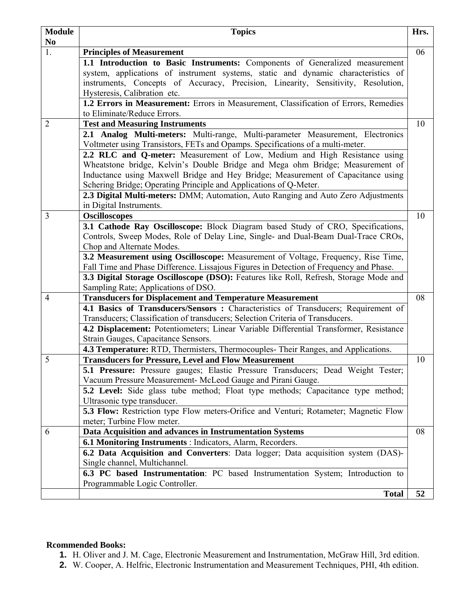| <b>Module</b>        | <b>Topics</b>                                                                                                          | Hrs. |  |  |  |  |
|----------------------|------------------------------------------------------------------------------------------------------------------------|------|--|--|--|--|
| N <sub>0</sub><br>1. | <b>Principles of Measurement</b>                                                                                       | 06   |  |  |  |  |
|                      | 1.1 Introduction to Basic Instruments: Components of Generalized measurement                                           |      |  |  |  |  |
|                      | system, applications of instrument systems, static and dynamic characteristics of                                      |      |  |  |  |  |
|                      | instruments, Concepts of Accuracy, Precision, Linearity, Sensitivity, Resolution,                                      |      |  |  |  |  |
|                      | Hysteresis, Calibration etc.                                                                                           |      |  |  |  |  |
|                      | 1.2 Errors in Measurement: Errors in Measurement, Classification of Errors, Remedies                                   |      |  |  |  |  |
|                      | to Eliminate/Reduce Errors.                                                                                            |      |  |  |  |  |
| $\overline{2}$       | <b>Test and Measuring Instruments</b>                                                                                  | 10   |  |  |  |  |
|                      | 2.1 Analog Multi-meters: Multi-range, Multi-parameter Measurement, Electronics                                         |      |  |  |  |  |
|                      | Voltmeter using Transistors, FETs and Opamps. Specifications of a multi-meter.                                         |      |  |  |  |  |
|                      | 2.2 RLC and Q-meter: Measurement of Low, Medium and High Resistance using                                              |      |  |  |  |  |
|                      | Wheatstone bridge, Kelvin's Double Bridge and Mega ohm Bridge; Measurement of                                          |      |  |  |  |  |
|                      | Inductance using Maxwell Bridge and Hey Bridge; Measurement of Capacitance using                                       |      |  |  |  |  |
|                      | Schering Bridge; Operating Principle and Applications of Q-Meter.                                                      |      |  |  |  |  |
|                      | 2.3 Digital Multi-meters: DMM; Automation, Auto Ranging and Auto Zero Adjustments                                      |      |  |  |  |  |
|                      | in Digital Instruments.                                                                                                |      |  |  |  |  |
| 3                    | <b>Oscilloscopes</b>                                                                                                   | 10   |  |  |  |  |
|                      | 3.1 Cathode Ray Oscilloscope: Block Diagram based Study of CRO, Specifications,                                        |      |  |  |  |  |
|                      | Controls, Sweep Modes, Role of Delay Line, Single- and Dual-Beam Dual-Trace CROs,                                      |      |  |  |  |  |
|                      | Chop and Alternate Modes.                                                                                              |      |  |  |  |  |
|                      | 3.2 Measurement using Oscilloscope: Measurement of Voltage, Frequency, Rise Time,                                      |      |  |  |  |  |
|                      | Fall Time and Phase Difference. Lissajous Figures in Detection of Frequency and Phase.                                 |      |  |  |  |  |
|                      | 3.3 Digital Storage Oscilloscope (DSO): Features like Roll, Refresh, Storage Mode and                                  |      |  |  |  |  |
|                      | Sampling Rate; Applications of DSO.                                                                                    |      |  |  |  |  |
| 4                    | <b>Transducers for Displacement and Temperature Measurement</b>                                                        | 08   |  |  |  |  |
|                      | 4.1 Basics of Transducers/Sensors: Characteristics of Transducers; Requirement of                                      |      |  |  |  |  |
|                      | Transducers; Classification of transducers; Selection Criteria of Transducers.                                         |      |  |  |  |  |
|                      | 4.2 Displacement: Potentiometers; Linear Variable Differential Transformer, Resistance                                 |      |  |  |  |  |
|                      | Strain Gauges, Capacitance Sensors.                                                                                    |      |  |  |  |  |
|                      | 4.3 Temperature: RTD, Thermisters, Thermocouples- Their Ranges, and Applications.                                      |      |  |  |  |  |
| 5                    | <b>Transducers for Pressure, Level and Flow Measurement</b>                                                            | 10   |  |  |  |  |
|                      | 5.1 Pressure: Pressure gauges; Elastic Pressure Transducers; Dead Weight Tester;                                       |      |  |  |  |  |
|                      | Vacuum Pressure Measurement-McLeod Gauge and Pirani Gauge.                                                             |      |  |  |  |  |
|                      | 5.2 Level: Side glass tube method; Float type methods; Capacitance type method;                                        |      |  |  |  |  |
|                      | Ultrasonic type transducer.<br>5.3 Flow: Restriction type Flow meters-Orifice and Venturi; Rotameter; Magnetic Flow    |      |  |  |  |  |
|                      | meter; Turbine Flow meter.                                                                                             |      |  |  |  |  |
|                      |                                                                                                                        | 08   |  |  |  |  |
| 6                    | Data Acquisition and advances in Instrumentation Systems<br>6.1 Monitoring Instruments : Indicators, Alarm, Recorders. |      |  |  |  |  |
|                      |                                                                                                                        |      |  |  |  |  |
|                      | 6.2 Data Acquisition and Converters: Data logger; Data acquisition system (DAS)-<br>Single channel, Multichannel.      |      |  |  |  |  |
|                      | 6.3 PC based Instrumentation: PC based Instrumentation System; Introduction to                                         |      |  |  |  |  |
|                      | Programmable Logic Controller.                                                                                         |      |  |  |  |  |
|                      | <b>Total</b>                                                                                                           | 52   |  |  |  |  |

#### **Rcommended Books:**

- **1.** H. Oliver and J. M. Cage, Electronic Measurement and Instrumentation, McGraw Hill, 3rd edition.
- **2.** W. Cooper, A. Helfric, Electronic Instrumentation and Measurement Techniques, PHI, 4th edition.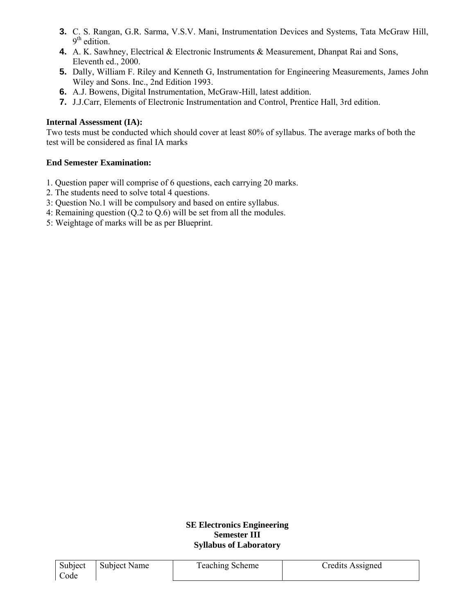- **3.** C. S. Rangan, G.R. Sarma, V.S.V. Mani, Instrumentation Devices and Systems, Tata McGraw Hill,  $9<sup>th</sup>$  edition.
- **4.** A. K. Sawhney, Electrical & Electronic Instruments & Measurement, Dhanpat Rai and Sons, Eleventh ed., 2000.
- **5.** Dally, William F. Riley and Kenneth G, Instrumentation for Engineering Measurements, James John Wiley and Sons. Inc., 2nd Edition 1993.
- **6.** A.J. Bowens, Digital Instrumentation, McGraw-Hill, latest addition.
- **7.** J.J.Carr, Elements of Electronic Instrumentation and Control, Prentice Hall, 3rd edition.

#### **Internal Assessment (IA):**

Two tests must be conducted which should cover at least 80% of syllabus. The average marks of both the test will be considered as final IA marks

#### **End Semester Examination:**

- 1. Question paper will comprise of 6 questions, each carrying 20 marks.
- 2. The students need to solve total 4 questions.
- 3: Question No.1 will be compulsory and based on entire syllabus.
- 4: Remaining question (Q.2 to Q.6) will be set from all the modules.
- 5: Weightage of marks will be as per Blueprint.

#### **SE Electronics Engineering Semester III Syllabus of Laboratory**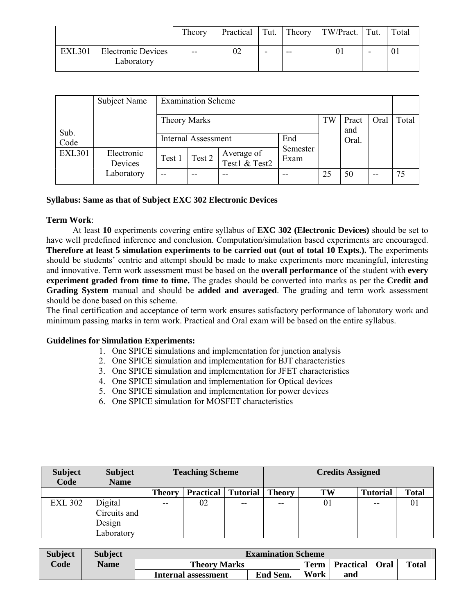|               |                                         | Theory                                |   |    | Practical   Tut.   Theory   TW/Pract.   Tut. |   | Total |
|---------------|-----------------------------------------|---------------------------------------|---|----|----------------------------------------------|---|-------|
| <b>EXL301</b> | <b>Electronic Devices</b><br>Laboratory | $\hspace{0.05cm}$ – $\hspace{0.05cm}$ | - | -- |                                              | - |       |

|               | Subject Name          |                     | <b>Examination Scheme</b> |                             |                  |    |              |      |       |
|---------------|-----------------------|---------------------|---------------------------|-----------------------------|------------------|----|--------------|------|-------|
| Sub.          |                       | <b>Theory Marks</b> |                           |                             |                  | TW | Pract<br>and | Oral | Total |
| Code          |                       |                     | Internal Assessment       |                             | End              |    | Oral.        |      |       |
| <b>EXL301</b> | Electronic<br>Devices | Test 1              | Test 2                    | Average of<br>Test1 & Test2 | Semester<br>Exam |    |              |      |       |
|               | Laboratory            | $- -$               | $- -$                     |                             |                  | 25 | 50           | $-$  | 75    |

#### **Syllabus: Same as that of Subject EXC 302 Electronic Devices**

#### **Term Work**:

At least **10** experiments covering entire syllabus of **EXC 302 (Electronic Devices)** should be set to have well predefined inference and conclusion. Computation/simulation based experiments are encouraged. **Therefore at least 5 simulation experiments to be carried out (out of total 10 Expts.).** The experiments should be students' centric and attempt should be made to make experiments more meaningful, interesting and innovative. Term work assessment must be based on the **overall performance** of the student with **every experiment graded from time to time.** The grades should be converted into marks as per the **Credit and Grading System** manual and should be **added and averaged**. The grading and term work assessment should be done based on this scheme.

The final certification and acceptance of term work ensures satisfactory performance of laboratory work and minimum passing marks in term work. Practical and Oral exam will be based on the entire syllabus.

#### **Guidelines for Simulation Experiments:**

- 1. One SPICE simulations and implementation for junction analysis
- 2. One SPICE simulation and implementation for BJT characteristics
- 3. One SPICE simulation and implementation for JFET characteristics
- 4. One SPICE simulation and implementation for Optical devices
- 5. One SPICE simulation and implementation for power devices
- 6. One SPICE simulation for MOSFET characteristics

| <b>Subject</b><br>Code | <b>Subject</b><br><b>Name</b> |               | <b>Teaching Scheme</b> |                 | <b>Credits Assigned</b> |    |                 |              |  |
|------------------------|-------------------------------|---------------|------------------------|-----------------|-------------------------|----|-----------------|--------------|--|
|                        |                               | <b>Theory</b> | <b>Practical</b>       | <b>Tutorial</b> | <b>Theory</b>           | TW | <b>Tutorial</b> | <b>Total</b> |  |
| <b>EXL 302</b>         | Digital                       | $- -$         | 02                     | $- -$           | $- -$                   | 01 | $- -$           | 01           |  |
|                        | Circuits and                  |               |                        |                 |                         |    |                 |              |  |
|                        | Design                        |               |                        |                 |                         |    |                 |              |  |
|                        | Laboratory                    |               |                        |                 |                         |    |                 |              |  |

| <b>Subject</b> | <b>Subject</b> |                            | <b>Examination Scheme</b> |             |                         |              |
|----------------|----------------|----------------------------|---------------------------|-------------|-------------------------|--------------|
| $\text{Code}$  | <b>Name</b>    | <b>Theory Marks</b>        |                           | <b>Term</b> | <b>Practical</b>   Oral | <b>Total</b> |
|                |                | <b>Internal assessment</b> | End Sem.                  | Work        | and                     |              |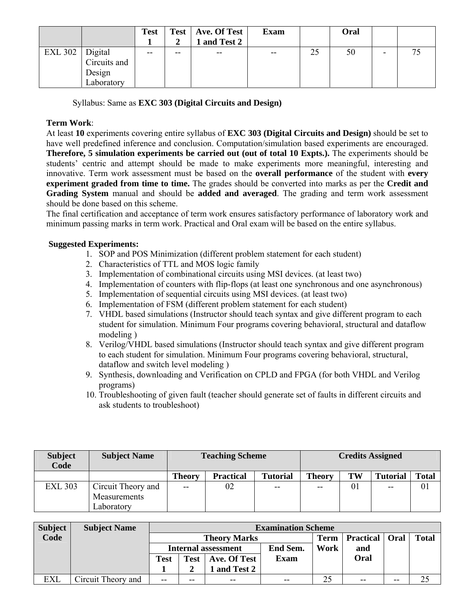|                   |                                      | <b>Test</b> |    | Test   Ave. Of Test<br>and Test 2 | <b>Exam</b>              |    | Oral |   |  |
|-------------------|--------------------------------------|-------------|----|-----------------------------------|--------------------------|----|------|---|--|
| EXL 302   Digital | Circuits and<br>Design<br>Laboratory | $- -$       | -- | $- -$                             | $\overline{\phantom{m}}$ | 25 | 50   | - |  |

Syllabus: Same as **EXC 303 (Digital Circuits and Design)**

#### **Term Work**:

At least **10** experiments covering entire syllabus of **EXC 303 (Digital Circuits and Design)** should be set to have well predefined inference and conclusion. Computation/simulation based experiments are encouraged. **Therefore, 5 simulation experiments be carried out (out of total 10 Expts.).** The experiments should be students' centric and attempt should be made to make experiments more meaningful, interesting and innovative. Term work assessment must be based on the **overall performance** of the student with **every experiment graded from time to time.** The grades should be converted into marks as per the **Credit and Grading System** manual and should be **added and averaged**. The grading and term work assessment should be done based on this scheme.

The final certification and acceptance of term work ensures satisfactory performance of laboratory work and minimum passing marks in term work. Practical and Oral exam will be based on the entire syllabus.

#### **Suggested Experiments:**

- 1. SOP and POS Minimization (different problem statement for each student)
- 2. Characteristics of TTL and MOS logic family
- 3. Implementation of combinational circuits using MSI devices. (at least two)
- 4. Implementation of counters with flip-flops (at least one synchronous and one asynchronous)
- 5. Implementation of sequential circuits using MSI devices. (at least two)
- 6. Implementation of FSM (different problem statement for each student)
- 7. VHDL based simulations (Instructor should teach syntax and give different program to each student for simulation. Minimum Four programs covering behavioral, structural and dataflow modeling )
- 8. Verilog/VHDL based simulations (Instructor should teach syntax and give different program to each student for simulation. Minimum Four programs covering behavioral, structural, dataflow and switch level modeling )
- 9. Synthesis, downloading and Verification on CPLD and FPGA (for both VHDL and Verilog programs)
- 10. Troubleshooting of given fault (teacher should generate set of faults in different circuits and ask students to troubleshoot)

| <b>Subject</b><br>Code | <b>Subject Name</b>                              |               | <b>Teaching Scheme</b> |                 | <b>Credits Assigned</b> |    |                 |              |  |
|------------------------|--------------------------------------------------|---------------|------------------------|-----------------|-------------------------|----|-----------------|--------------|--|
|                        |                                                  | <b>Theory</b> | <b>Practical</b>       | <b>Tutorial</b> | <b>Theory</b>           | TW | <b>Tutorial</b> | <b>Total</b> |  |
| <b>EXL 303</b>         | Circuit Theory and<br>Measurements<br>Laboratory | $-$           | 02                     | $-$             | $-$                     | 01 | $-$             | 01           |  |

| <b>Subject</b> | <b>Subject Name</b> |                                        |       |       | <b>Examination Scheme</b> |             |                         |       |              |
|----------------|---------------------|----------------------------------------|-------|-------|---------------------------|-------------|-------------------------|-------|--------------|
| Code           |                     | <b>Theory Marks</b>                    |       |       |                           | <b>Term</b> | <b>Practical</b>   Oral |       | <b>Total</b> |
|                |                     | End Sem.<br><b>Internal assessment</b> |       |       |                           | Work        | and                     |       |              |
|                |                     | Exam<br>Test   Ave. Of Test<br>Test    |       |       |                           |             | Oral                    |       |              |
|                |                     | 1 and Test 2                           |       |       |                           |             |                         |       |              |
| <b>EXL</b>     | Circuit Theory and  | $-$                                    | $- -$ | $- -$ | $- -$                     | 25          | $- -$                   | $- -$ |              |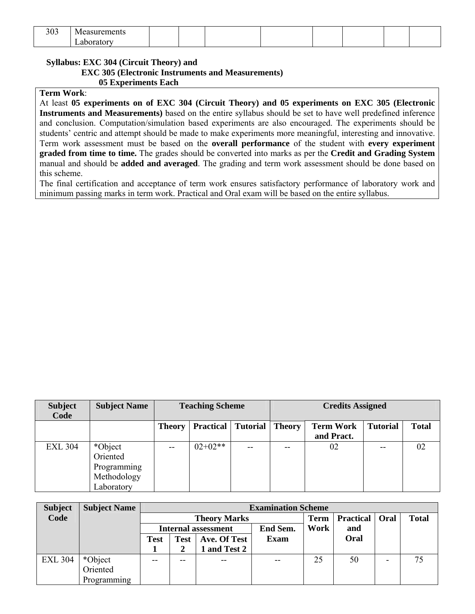| 303 | Measurements |  |  |  |  |
|-----|--------------|--|--|--|--|
|     | aboratory    |  |  |  |  |

#### **Syllabus: EXC 304 (Circuit Theory) and**

#### **EXC 305 (Electronic Instruments and Measurements)**

**05 Experiments Each**

#### **Term Work**:

At least **05 experiments on of EXC 304 (Circuit Theory) and 05 experiments on EXC 305 (Electronic Instruments and Measurements)** based on the entire syllabus should be set to have well predefined inference and conclusion. Computation/simulation based experiments are also encouraged. The experiments should be students' centric and attempt should be made to make experiments more meaningful, interesting and innovative. Term work assessment must be based on the **overall performance** of the student with **every experiment graded from time to time.** The grades should be converted into marks as per the **Credit and Grading System** manual and should be **added and averaged**. The grading and term work assessment should be done based on this scheme.

The final certification and acceptance of term work ensures satisfactory performance of laboratory work and minimum passing marks in term work. Practical and Oral exam will be based on the entire syllabus.

| <b>Subject</b><br>Code | <b>Subject Name</b>                                             |               | <b>Teaching Scheme</b> |                 | <b>Credits Assigned</b> |                                |                 |              |  |
|------------------------|-----------------------------------------------------------------|---------------|------------------------|-----------------|-------------------------|--------------------------------|-----------------|--------------|--|
|                        |                                                                 | <b>Theory</b> | <b>Practical</b>       | <b>Tutorial</b> | <b>Theory</b>           | <b>Term Work</b><br>and Pract. | <b>Tutorial</b> | <b>Total</b> |  |
| <b>EXL 304</b>         | *Object<br>Oriented<br>Programming<br>Methodology<br>Laboratory | $- -$         | $02+02**$              | $- -$           | $- -$                   | 02                             | $- -$           | 02           |  |

| <b>Subject</b> | <b>Subject Name</b> |      |             |                     | <b>Examination Scheme</b> |             |                         |  |              |  |
|----------------|---------------------|------|-------------|---------------------|---------------------------|-------------|-------------------------|--|--------------|--|
| Code           |                     |      |             | <b>Theory Marks</b> |                           | <b>Term</b> | <b>Practical</b>   Oral |  | <b>Total</b> |  |
|                |                     |      |             | Internal assessment | End Sem.                  | Work        | and                     |  |              |  |
|                |                     | Test | <b>Test</b> | Ave. Of Test        | Exam                      |             | Oral                    |  |              |  |
|                |                     |      |             | 1 and Test 2        |                           |             |                         |  |              |  |
| <b>EXL 304</b> | *Object             |      | --          | $-$                 | $- -$                     | 25          | 50                      |  | 75           |  |
|                | Oriented            |      |             |                     |                           |             |                         |  |              |  |
|                | Programming         |      |             |                     |                           |             |                         |  |              |  |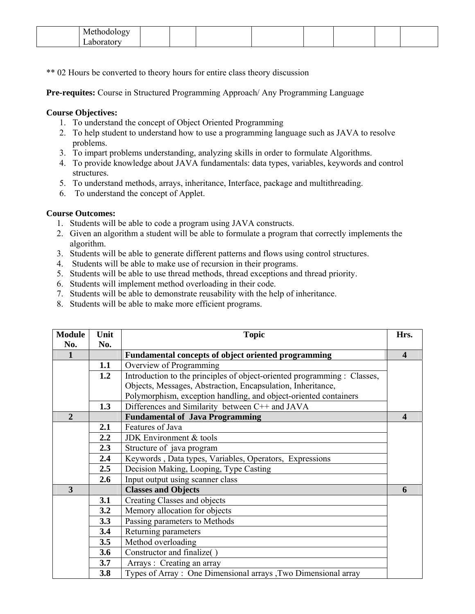| Methodology<br>ັ    |  |  |  |  |
|---------------------|--|--|--|--|
| anorator<br>.<br>__ |  |  |  |  |

\*\* 02 Hours be converted to theory hours for entire class theory discussion

**Pre-requites:** Course in Structured Programming Approach/ Any Programming Language

#### **Course Objectives:**

- 1. To understand the concept of Object Oriented Programming
- 2. To help student to understand how to use a programming language such as JAVA to resolve problems.
- 3. To impart problems understanding, analyzing skills in order to formulate Algorithms.
- 4. To provide knowledge about JAVA fundamentals: data types, variables, keywords and control structures.
- 5. To understand methods, arrays, inheritance, Interface, package and multithreading.
- 6. To understand the concept of Applet.

#### **Course Outcomes:**

- 1. Students will be able to code a program using JAVA constructs.
- 2. Given an algorithm a student will be able to formulate a program that correctly implements the algorithm.
- 3. Students will be able to generate different patterns and flows using control structures.
- 4. Students will be able to make use of recursion in their programs.
- 5. Students will be able to use thread methods, thread exceptions and thread priority.
- 6. Students will implement method overloading in their code.
- 7. Students will be able to demonstrate reusability with the help of inheritance.
- 8. Students will be able to make more efficient programs.

| <b>Module</b>  | Unit | <b>Topic</b>                                                             | Hrs.                    |
|----------------|------|--------------------------------------------------------------------------|-------------------------|
| No.            | No.  |                                                                          |                         |
| 1              |      | Fundamental concepts of object oriented programming                      | $\overline{\mathbf{4}}$ |
|                | 1.1  | Overview of Programming                                                  |                         |
|                | 1.2  | Introduction to the principles of object-oriented programming : Classes, |                         |
|                |      | Objects, Messages, Abstraction, Encapsulation, Inheritance,              |                         |
|                |      | Polymorphism, exception handling, and object-oriented containers         |                         |
|                | 1.3  | Differences and Similarity between C++ and JAVA                          |                         |
| $\overline{2}$ |      | <b>Fundamental of Java Programming</b>                                   | $\boldsymbol{4}$        |
|                | 2.1  | Features of Java                                                         |                         |
|                | 2.2  | JDK Environment & tools                                                  |                         |
|                | 2.3  | Structure of java program                                                |                         |
|                | 2.4  | Keywords, Data types, Variables, Operators, Expressions                  |                         |
|                | 2.5  | Decision Making, Looping, Type Casting                                   |                         |
|                | 2.6  | Input output using scanner class                                         |                         |
| 3              |      | <b>Classes and Objects</b>                                               | 6                       |
|                | 3.1  | Creating Classes and objects                                             |                         |
|                | 3.2  | Memory allocation for objects                                            |                         |
|                | 3.3  | Passing parameters to Methods                                            |                         |
|                | 3.4  | Returning parameters                                                     |                         |
|                | 3.5  | Method overloading                                                       |                         |
|                | 3.6  | Constructor and finalize()                                               |                         |
|                | 3.7  | Arrays: Creating an array                                                |                         |
|                | 3.8  | Types of Array: One Dimensional arrays, Two Dimensional array            |                         |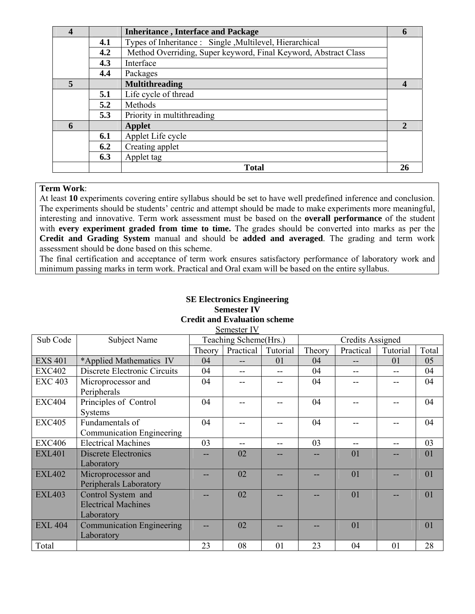| Types of Inheritance : Single , Multilevel, Hierarchical<br>4.1        |    |
|------------------------------------------------------------------------|----|
|                                                                        |    |
| Method Overriding, Super keyword, Final Keyword, Abstract Class<br>4.2 |    |
| 4.3<br>Interface                                                       |    |
| 4.4<br>Packages                                                        |    |
| <b>Multithreading</b><br>5                                             |    |
| Life cycle of thread<br>5.1                                            |    |
| 5.2<br>Methods                                                         |    |
| Priority in multithreading<br>5.3                                      |    |
| 6<br><b>Applet</b>                                                     | 2  |
| Applet Life cycle<br>6.1                                               |    |
| Creating applet<br>6.2                                                 |    |
| 6.3<br>Applet tag                                                      |    |
| <b>Total</b>                                                           | 26 |

#### **Term Work**:

At least **10** experiments covering entire syllabus should be set to have well predefined inference and conclusion. The experiments should be students' centric and attempt should be made to make experiments more meaningful, interesting and innovative. Term work assessment must be based on the **overall performance** of the student with **every experiment graded from time to time.** The grades should be converted into marks as per the **Credit and Grading System** manual and should be **added and averaged**. The grading and term work assessment should be done based on this scheme.

The final certification and acceptance of term work ensures satisfactory performance of laboratory work and minimum passing marks in term work. Practical and Oral exam will be based on the entire syllabus.

#### **SE Electronics Engineering Semester IV Credit and Evaluation scheme**  Semester IV

| Sub Code       | <b>Subject Name</b>              |        | Teaching Scheme(Hrs.) |          |        | <b>Credits Assigned</b> |          |       |
|----------------|----------------------------------|--------|-----------------------|----------|--------|-------------------------|----------|-------|
|                |                                  | Theory | Practical             | Tutorial | Theory | Practical               | Tutorial | Total |
| <b>EXS 401</b> | *Applied Mathematics IV          | 04     |                       | 01       | 04     |                         | 01       | 05    |
| <b>EXC402</b>  | Discrete Electronic Circuits     | 04     |                       |          | 04     |                         |          | 04    |
| <b>EXC 403</b> | Microprocessor and               | 04     |                       |          | 04     |                         |          | 04    |
|                | Peripherals                      |        |                       |          |        |                         |          |       |
| <b>EXC404</b>  | Principles of Control            | 04     |                       |          | 04     |                         |          | 04    |
|                | Systems                          |        |                       |          |        |                         |          |       |
| <b>EXC405</b>  | Fundamentals of                  | 04     |                       |          | 04     |                         |          | 04    |
|                | Communication Engineering        |        |                       |          |        |                         |          |       |
| <b>EXC406</b>  | <b>Electrical Machines</b>       | 03     |                       |          | 03     | $- -$                   |          | 03    |
| <b>EXL401</b>  | Discrete Electronics             |        | 02                    |          |        | 01                      |          | 01    |
|                | Laboratory                       |        |                       |          |        |                         |          |       |
| <b>EXL402</b>  | Microprocessor and               |        | 02                    |          |        | 01                      |          | 01    |
|                | Peripherals Laboratory           |        |                       |          |        |                         |          |       |
| <b>EXL403</b>  | Control System and               |        | 02                    |          |        | 01                      |          | 01    |
|                | <b>Electrical Machines</b>       |        |                       |          |        |                         |          |       |
|                | Laboratory                       |        |                       |          |        |                         |          |       |
| <b>EXL 404</b> | <b>Communication Engineering</b> |        | 02                    |          |        | 01                      |          | 01    |
|                | Laboratory                       |        |                       |          |        |                         |          |       |
| Total          |                                  | 23     | 08                    | 01       | 23     | 04                      | 01       | 28    |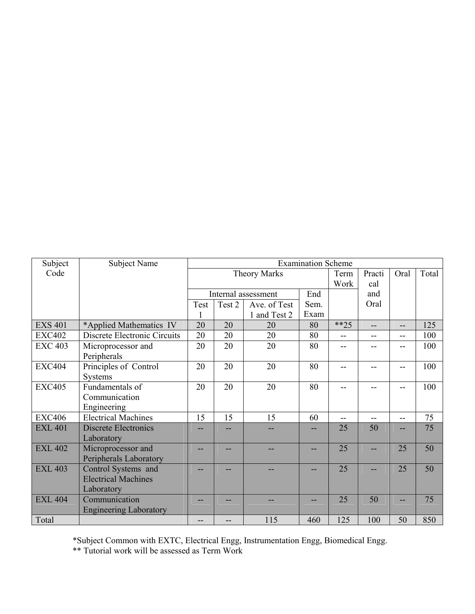| Subject        | Subject Name                  |      |                     |                     | <b>Examination Scheme</b> |        |        |                |       |
|----------------|-------------------------------|------|---------------------|---------------------|---------------------------|--------|--------|----------------|-------|
| Code           |                               |      | <b>Theory Marks</b> |                     |                           |        | Practi | Oral           | Total |
|                |                               |      |                     |                     |                           | Work   | cal    |                |       |
|                |                               |      |                     | Internal assessment | End                       |        | and    |                |       |
|                |                               | Test | Test 2              | Ave. of Test        | Sem.                      |        | Oral   |                |       |
|                |                               |      |                     | 1 and Test 2        | Exam                      |        |        |                |       |
| <b>EXS 401</b> | *Applied Mathematics IV       | 20   | 20                  | 20                  | 80                        | $**25$ | --     | $- -$          | 125   |
| <b>EXC402</b>  | Discrete Electronic Circuits  | 20   | 20                  | 20                  | 80                        | --     | --     | $-$            | 100   |
| <b>EXC 403</b> | Microprocessor and            | 20   | 20                  | 20                  | 80                        |        |        | --             | 100   |
|                | Peripherals                   |      |                     |                     |                           |        |        |                |       |
| <b>EXC404</b>  | Principles of Control         | 20   | 20                  | 20                  | 80                        | --     |        | --             | 100   |
|                | Systems                       |      |                     |                     |                           |        |        |                |       |
| <b>EXC405</b>  | Fundamentals of               | 20   | 20                  | 20                  | 80                        | --     | --     | $-$            | 100   |
|                | Communication                 |      |                     |                     |                           |        |        |                |       |
|                | Engineering                   |      |                     |                     |                           |        |        |                |       |
| <b>EXC406</b>  | <b>Electrical Machines</b>    | 15   | 15                  | 15                  | 60                        | --     | --     | $\overline{a}$ | 75    |
| <b>EXL 401</b> | <b>Discrete Electronics</b>   |      |                     |                     |                           | 25     | 50     |                | 75    |
|                | Laboratory                    |      |                     |                     |                           |        |        |                |       |
| <b>EXL 402</b> | Microprocessor and            |      |                     |                     | --                        | 25     |        | 25             | 50    |
|                | Peripherals Laboratory        |      |                     |                     |                           |        |        |                |       |
| <b>EXL 403</b> | Control Systems and           |      |                     |                     | --                        | 25     |        | 25             | 50    |
|                | <b>Electrical Machines</b>    |      |                     |                     |                           |        |        |                |       |
|                | Laboratory                    |      |                     |                     |                           |        |        |                |       |
| <b>EXL 404</b> | Communication                 |      |                     |                     |                           | 25     | 50     |                | 75    |
|                | <b>Engineering Laboratory</b> |      |                     |                     |                           |        |        |                |       |
| Total          |                               | --   |                     | 115                 | 460                       | 125    | 100    | 50             | 850   |

\*Subject Common with EXTC, Electrical Engg, Instrumentation Engg, Biomedical Engg.

\*\* Tutorial work will be assessed as Term Work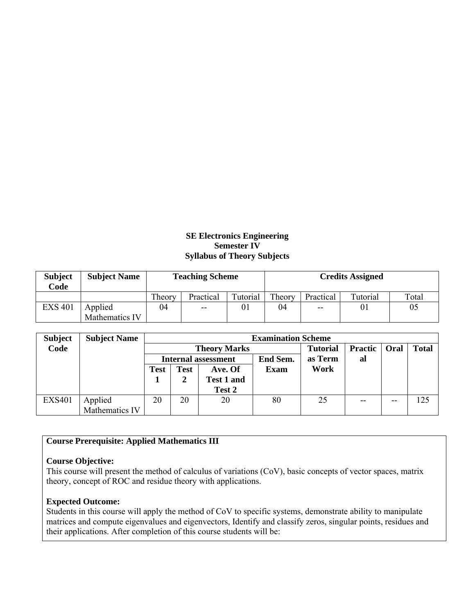#### **SE Electronics Engineering Semester IV Syllabus of Theory Subjects**

| <b>Subject</b><br>Code | <b>Subject Name</b> |        | <b>Teaching Scheme</b> |          | <b>Credits Assigned</b> |           |          |       |  |
|------------------------|---------------------|--------|------------------------|----------|-------------------------|-----------|----------|-------|--|
|                        |                     | Theory | Practical              | Tutorial | Theory                  | Practical | Tutorial | Total |  |
| <b>EXS 401</b>         | Applied             | 04     | $- -$                  |          | 04                      | $- -$     |          | 05    |  |
|                        | Mathematics IV      |        |                        |          |                         |           |          |       |  |

| <b>Subject</b> | <b>Subject Name</b> |      | <b>Examination Scheme</b> |                     |                 |                 |                |       |              |  |
|----------------|---------------------|------|---------------------------|---------------------|-----------------|-----------------|----------------|-------|--------------|--|
| Code           |                     |      |                           | <b>Theory Marks</b> |                 | <b>Tutorial</b> | <b>Practic</b> | Oral  | <b>Total</b> |  |
|                |                     |      |                           | Internal assessment | <b>End Sem.</b> | as Term         | al             |       |              |  |
|                |                     | Test | <b>Test</b>               | Ave. Of             | <b>Exam</b>     | Work            |                |       |              |  |
|                |                     |      | 2                         | <b>Test 1 and</b>   |                 |                 |                |       |              |  |
|                |                     |      |                           | Test 2              |                 |                 |                |       |              |  |
| <b>EXS401</b>  | Applied             | 20   | 20                        | 20                  | 80              | 25              | $- -$          | $- -$ | 125          |  |
|                | Mathematics IV      |      |                           |                     |                 |                 |                |       |              |  |

#### **Course Prerequisite: Applied Mathematics III**

#### **Course Objective:**

This course will present the method of calculus of variations (CoV), basic concepts of vector spaces, matrix theory, concept of ROC and residue theory with applications.

#### **Expected Outcome:**

Students in this course will apply the method of CoV to specific systems, demonstrate ability to manipulate matrices and compute eigenvalues and eigenvectors, Identify and classify zeros, singular points, residues and their applications. After completion of this course students will be: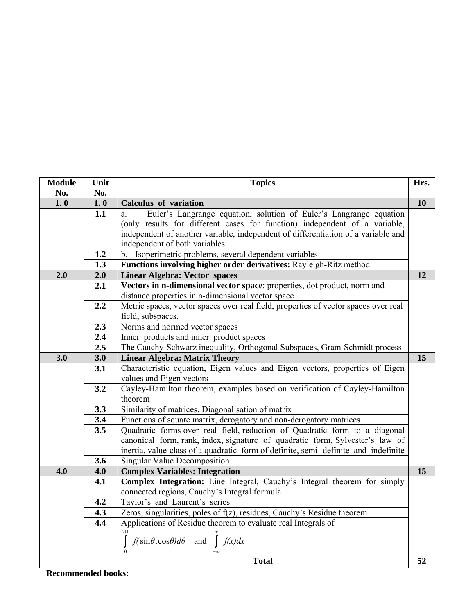| 1.0<br>10<br>1.0<br><b>Calculus of variation</b><br>1.1<br>Euler's Langrange equation, solution of Euler's Langrange equation<br>a.<br>(only results for different cases for function) independent of a variable,<br>independent of another variable, independent of differentiation of a variable and<br>independent of both variables<br>1.2<br>b. Isoperimetric problems, several dependent variables<br>1.3<br>Functions involving higher order derivatives: Rayleigh-Ritz method<br>2.0<br>2.0<br><b>Linear Algebra: Vector spaces</b><br>12<br>Vectors in n-dimensional vector space: properties, dot product, norm and<br>2.1<br>distance properties in n-dimensional vector space.<br>2.2<br>Metric spaces, vector spaces over real field, properties of vector spaces over real<br>field, subspaces.<br>Norms and normed vector spaces<br>2.3<br>2.4<br>Inner products and inner product spaces<br>$\overline{2.5}$<br>The Cauchy-Schwarz inequality, Orthogonal Subspaces, Gram-Schmidt process<br>3.0<br>3.0<br><b>Linear Algebra: Matrix Theory</b><br>15<br>3.1<br>Characteristic equation, Eigen values and Eigen vectors, properties of Eigen<br>values and Eigen vectors<br>3.2<br>Cayley-Hamilton theorem, examples based on verification of Cayley-Hamilton<br>theorem<br>3.3<br>Similarity of matrices, Diagonalisation of matrix<br>3.4<br>Functions of square matrix, derogatory and non-derogatory matrices<br>3.5<br>Quadratic forms over real field, reduction of Quadratic form to a diagonal<br>canonical form, rank, index, signature of quadratic form, Sylvester's law of<br>inertia, value-class of a quadratic form of definite, semi-definite and indefinite<br>3.6<br><b>Singular Value Decomposition</b><br>4.0<br>4.0<br><b>Complex Variables: Integration</b><br>15<br>Complex Integration: Line Integral, Cauchy's Integral theorem for simply<br>4.1<br>connected regions, Cauchy's Integral formula<br>4.2<br>Taylor's and Laurent's series<br>4.3<br>Zeros, singularities, poles of f(z), residues, Cauchy's Residue theorem<br>Applications of Residue theorem to evaluate real Integrals of<br>4.4<br>$2\Pi$<br>$f(\sin\theta, \cos\theta)d\theta$ and $\int f(x)dx$ | <b>Module</b> | Unit<br>No. | <b>Topics</b> | Hrs. |
|----------------------------------------------------------------------------------------------------------------------------------------------------------------------------------------------------------------------------------------------------------------------------------------------------------------------------------------------------------------------------------------------------------------------------------------------------------------------------------------------------------------------------------------------------------------------------------------------------------------------------------------------------------------------------------------------------------------------------------------------------------------------------------------------------------------------------------------------------------------------------------------------------------------------------------------------------------------------------------------------------------------------------------------------------------------------------------------------------------------------------------------------------------------------------------------------------------------------------------------------------------------------------------------------------------------------------------------------------------------------------------------------------------------------------------------------------------------------------------------------------------------------------------------------------------------------------------------------------------------------------------------------------------------------------------------------------------------------------------------------------------------------------------------------------------------------------------------------------------------------------------------------------------------------------------------------------------------------------------------------------------------------------------------------------------------------------------------------------------------------------------------------------------------------------------------------------------------|---------------|-------------|---------------|------|
|                                                                                                                                                                                                                                                                                                                                                                                                                                                                                                                                                                                                                                                                                                                                                                                                                                                                                                                                                                                                                                                                                                                                                                                                                                                                                                                                                                                                                                                                                                                                                                                                                                                                                                                                                                                                                                                                                                                                                                                                                                                                                                                                                                                                                | No.           |             |               |      |
|                                                                                                                                                                                                                                                                                                                                                                                                                                                                                                                                                                                                                                                                                                                                                                                                                                                                                                                                                                                                                                                                                                                                                                                                                                                                                                                                                                                                                                                                                                                                                                                                                                                                                                                                                                                                                                                                                                                                                                                                                                                                                                                                                                                                                |               |             |               |      |
|                                                                                                                                                                                                                                                                                                                                                                                                                                                                                                                                                                                                                                                                                                                                                                                                                                                                                                                                                                                                                                                                                                                                                                                                                                                                                                                                                                                                                                                                                                                                                                                                                                                                                                                                                                                                                                                                                                                                                                                                                                                                                                                                                                                                                |               |             |               |      |
|                                                                                                                                                                                                                                                                                                                                                                                                                                                                                                                                                                                                                                                                                                                                                                                                                                                                                                                                                                                                                                                                                                                                                                                                                                                                                                                                                                                                                                                                                                                                                                                                                                                                                                                                                                                                                                                                                                                                                                                                                                                                                                                                                                                                                |               |             |               |      |
|                                                                                                                                                                                                                                                                                                                                                                                                                                                                                                                                                                                                                                                                                                                                                                                                                                                                                                                                                                                                                                                                                                                                                                                                                                                                                                                                                                                                                                                                                                                                                                                                                                                                                                                                                                                                                                                                                                                                                                                                                                                                                                                                                                                                                |               |             |               |      |
|                                                                                                                                                                                                                                                                                                                                                                                                                                                                                                                                                                                                                                                                                                                                                                                                                                                                                                                                                                                                                                                                                                                                                                                                                                                                                                                                                                                                                                                                                                                                                                                                                                                                                                                                                                                                                                                                                                                                                                                                                                                                                                                                                                                                                |               |             |               |      |
|                                                                                                                                                                                                                                                                                                                                                                                                                                                                                                                                                                                                                                                                                                                                                                                                                                                                                                                                                                                                                                                                                                                                                                                                                                                                                                                                                                                                                                                                                                                                                                                                                                                                                                                                                                                                                                                                                                                                                                                                                                                                                                                                                                                                                |               |             |               |      |
|                                                                                                                                                                                                                                                                                                                                                                                                                                                                                                                                                                                                                                                                                                                                                                                                                                                                                                                                                                                                                                                                                                                                                                                                                                                                                                                                                                                                                                                                                                                                                                                                                                                                                                                                                                                                                                                                                                                                                                                                                                                                                                                                                                                                                |               |             |               |      |
|                                                                                                                                                                                                                                                                                                                                                                                                                                                                                                                                                                                                                                                                                                                                                                                                                                                                                                                                                                                                                                                                                                                                                                                                                                                                                                                                                                                                                                                                                                                                                                                                                                                                                                                                                                                                                                                                                                                                                                                                                                                                                                                                                                                                                |               |             |               |      |
|                                                                                                                                                                                                                                                                                                                                                                                                                                                                                                                                                                                                                                                                                                                                                                                                                                                                                                                                                                                                                                                                                                                                                                                                                                                                                                                                                                                                                                                                                                                                                                                                                                                                                                                                                                                                                                                                                                                                                                                                                                                                                                                                                                                                                |               |             |               |      |
|                                                                                                                                                                                                                                                                                                                                                                                                                                                                                                                                                                                                                                                                                                                                                                                                                                                                                                                                                                                                                                                                                                                                                                                                                                                                                                                                                                                                                                                                                                                                                                                                                                                                                                                                                                                                                                                                                                                                                                                                                                                                                                                                                                                                                |               |             |               |      |
|                                                                                                                                                                                                                                                                                                                                                                                                                                                                                                                                                                                                                                                                                                                                                                                                                                                                                                                                                                                                                                                                                                                                                                                                                                                                                                                                                                                                                                                                                                                                                                                                                                                                                                                                                                                                                                                                                                                                                                                                                                                                                                                                                                                                                |               |             |               |      |
|                                                                                                                                                                                                                                                                                                                                                                                                                                                                                                                                                                                                                                                                                                                                                                                                                                                                                                                                                                                                                                                                                                                                                                                                                                                                                                                                                                                                                                                                                                                                                                                                                                                                                                                                                                                                                                                                                                                                                                                                                                                                                                                                                                                                                |               |             |               |      |
|                                                                                                                                                                                                                                                                                                                                                                                                                                                                                                                                                                                                                                                                                                                                                                                                                                                                                                                                                                                                                                                                                                                                                                                                                                                                                                                                                                                                                                                                                                                                                                                                                                                                                                                                                                                                                                                                                                                                                                                                                                                                                                                                                                                                                |               |             |               |      |
|                                                                                                                                                                                                                                                                                                                                                                                                                                                                                                                                                                                                                                                                                                                                                                                                                                                                                                                                                                                                                                                                                                                                                                                                                                                                                                                                                                                                                                                                                                                                                                                                                                                                                                                                                                                                                                                                                                                                                                                                                                                                                                                                                                                                                |               |             |               |      |
|                                                                                                                                                                                                                                                                                                                                                                                                                                                                                                                                                                                                                                                                                                                                                                                                                                                                                                                                                                                                                                                                                                                                                                                                                                                                                                                                                                                                                                                                                                                                                                                                                                                                                                                                                                                                                                                                                                                                                                                                                                                                                                                                                                                                                |               |             |               |      |
|                                                                                                                                                                                                                                                                                                                                                                                                                                                                                                                                                                                                                                                                                                                                                                                                                                                                                                                                                                                                                                                                                                                                                                                                                                                                                                                                                                                                                                                                                                                                                                                                                                                                                                                                                                                                                                                                                                                                                                                                                                                                                                                                                                                                                |               |             |               |      |
|                                                                                                                                                                                                                                                                                                                                                                                                                                                                                                                                                                                                                                                                                                                                                                                                                                                                                                                                                                                                                                                                                                                                                                                                                                                                                                                                                                                                                                                                                                                                                                                                                                                                                                                                                                                                                                                                                                                                                                                                                                                                                                                                                                                                                |               |             |               |      |
|                                                                                                                                                                                                                                                                                                                                                                                                                                                                                                                                                                                                                                                                                                                                                                                                                                                                                                                                                                                                                                                                                                                                                                                                                                                                                                                                                                                                                                                                                                                                                                                                                                                                                                                                                                                                                                                                                                                                                                                                                                                                                                                                                                                                                |               |             |               |      |
|                                                                                                                                                                                                                                                                                                                                                                                                                                                                                                                                                                                                                                                                                                                                                                                                                                                                                                                                                                                                                                                                                                                                                                                                                                                                                                                                                                                                                                                                                                                                                                                                                                                                                                                                                                                                                                                                                                                                                                                                                                                                                                                                                                                                                |               |             |               |      |
|                                                                                                                                                                                                                                                                                                                                                                                                                                                                                                                                                                                                                                                                                                                                                                                                                                                                                                                                                                                                                                                                                                                                                                                                                                                                                                                                                                                                                                                                                                                                                                                                                                                                                                                                                                                                                                                                                                                                                                                                                                                                                                                                                                                                                |               |             |               |      |
|                                                                                                                                                                                                                                                                                                                                                                                                                                                                                                                                                                                                                                                                                                                                                                                                                                                                                                                                                                                                                                                                                                                                                                                                                                                                                                                                                                                                                                                                                                                                                                                                                                                                                                                                                                                                                                                                                                                                                                                                                                                                                                                                                                                                                |               |             |               |      |
|                                                                                                                                                                                                                                                                                                                                                                                                                                                                                                                                                                                                                                                                                                                                                                                                                                                                                                                                                                                                                                                                                                                                                                                                                                                                                                                                                                                                                                                                                                                                                                                                                                                                                                                                                                                                                                                                                                                                                                                                                                                                                                                                                                                                                |               |             |               |      |
|                                                                                                                                                                                                                                                                                                                                                                                                                                                                                                                                                                                                                                                                                                                                                                                                                                                                                                                                                                                                                                                                                                                                                                                                                                                                                                                                                                                                                                                                                                                                                                                                                                                                                                                                                                                                                                                                                                                                                                                                                                                                                                                                                                                                                |               |             |               |      |
|                                                                                                                                                                                                                                                                                                                                                                                                                                                                                                                                                                                                                                                                                                                                                                                                                                                                                                                                                                                                                                                                                                                                                                                                                                                                                                                                                                                                                                                                                                                                                                                                                                                                                                                                                                                                                                                                                                                                                                                                                                                                                                                                                                                                                |               |             |               |      |
|                                                                                                                                                                                                                                                                                                                                                                                                                                                                                                                                                                                                                                                                                                                                                                                                                                                                                                                                                                                                                                                                                                                                                                                                                                                                                                                                                                                                                                                                                                                                                                                                                                                                                                                                                                                                                                                                                                                                                                                                                                                                                                                                                                                                                |               |             |               |      |
|                                                                                                                                                                                                                                                                                                                                                                                                                                                                                                                                                                                                                                                                                                                                                                                                                                                                                                                                                                                                                                                                                                                                                                                                                                                                                                                                                                                                                                                                                                                                                                                                                                                                                                                                                                                                                                                                                                                                                                                                                                                                                                                                                                                                                |               |             |               |      |
|                                                                                                                                                                                                                                                                                                                                                                                                                                                                                                                                                                                                                                                                                                                                                                                                                                                                                                                                                                                                                                                                                                                                                                                                                                                                                                                                                                                                                                                                                                                                                                                                                                                                                                                                                                                                                                                                                                                                                                                                                                                                                                                                                                                                                |               |             |               |      |
|                                                                                                                                                                                                                                                                                                                                                                                                                                                                                                                                                                                                                                                                                                                                                                                                                                                                                                                                                                                                                                                                                                                                                                                                                                                                                                                                                                                                                                                                                                                                                                                                                                                                                                                                                                                                                                                                                                                                                                                                                                                                                                                                                                                                                |               |             |               |      |
|                                                                                                                                                                                                                                                                                                                                                                                                                                                                                                                                                                                                                                                                                                                                                                                                                                                                                                                                                                                                                                                                                                                                                                                                                                                                                                                                                                                                                                                                                                                                                                                                                                                                                                                                                                                                                                                                                                                                                                                                                                                                                                                                                                                                                |               |             |               |      |
|                                                                                                                                                                                                                                                                                                                                                                                                                                                                                                                                                                                                                                                                                                                                                                                                                                                                                                                                                                                                                                                                                                                                                                                                                                                                                                                                                                                                                                                                                                                                                                                                                                                                                                                                                                                                                                                                                                                                                                                                                                                                                                                                                                                                                |               |             |               |      |
|                                                                                                                                                                                                                                                                                                                                                                                                                                                                                                                                                                                                                                                                                                                                                                                                                                                                                                                                                                                                                                                                                                                                                                                                                                                                                                                                                                                                                                                                                                                                                                                                                                                                                                                                                                                                                                                                                                                                                                                                                                                                                                                                                                                                                |               |             |               |      |
|                                                                                                                                                                                                                                                                                                                                                                                                                                                                                                                                                                                                                                                                                                                                                                                                                                                                                                                                                                                                                                                                                                                                                                                                                                                                                                                                                                                                                                                                                                                                                                                                                                                                                                                                                                                                                                                                                                                                                                                                                                                                                                                                                                                                                |               |             |               |      |
| <b>Total</b><br>52                                                                                                                                                                                                                                                                                                                                                                                                                                                                                                                                                                                                                                                                                                                                                                                                                                                                                                                                                                                                                                                                                                                                                                                                                                                                                                                                                                                                                                                                                                                                                                                                                                                                                                                                                                                                                                                                                                                                                                                                                                                                                                                                                                                             |               |             |               |      |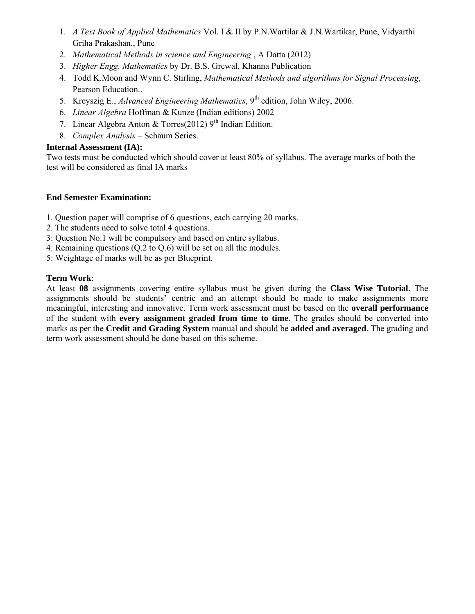- 1. *A Text Book of Applied Mathematics* Vol. I & II by P.N.Wartilar & J.N.Wartikar, Pune, Vidyarthi Griha Prakashan., Pune
- 2. *Mathematical Methods in science and Engineering* , A Datta (2012)
- 3. *Higher Engg. Mathematics* by Dr. B.S. Grewal, Khanna Publication
- 4. Todd K.Moon and Wynn C. Stirling, *Mathematical Methods and algorithms for Signal Processing*, Pearson Education..
- 5. Kreyszig E., *Advanced Engineering Mathematics*, 9<sup>th</sup> edition, John Wiley, 2006.
- 6. *Linear Algebra* Hoffman & Kunze (Indian editions) 2002
- 7. Linear Algebra Anton & Torres(2012)  $9<sup>th</sup>$  Indian Edition.
- 8. *Complex Analysis* Schaum Series.

#### **Internal Assessment (IA):**

Two tests must be conducted which should cover at least 80% of syllabus. The average marks of both the test will be considered as final IA marks

#### **End Semester Examination:**

- 1. Question paper will comprise of 6 questions, each carrying 20 marks.
- 2. The students need to solve total 4 questions.
- 3: Question No.1 will be compulsory and based on entire syllabus.
- 4: Remaining questions (Q.2 to Q.6) will be set on all the modules.
- 5: Weightage of marks will be as per Blueprint.

#### **Term Work**:

At least **08** assignments covering entire syllabus must be given during the **Class Wise Tutorial.** The assignments should be students' centric and an attempt should be made to make assignments more meaningful, interesting and innovative. Term work assessment must be based on the **overall performance** of the student with **every assignment graded from time to time.** The grades should be converted into marks as per the **Credit and Grading System** manual and should be **added and averaged**. The grading and term work assessment should be done based on this scheme.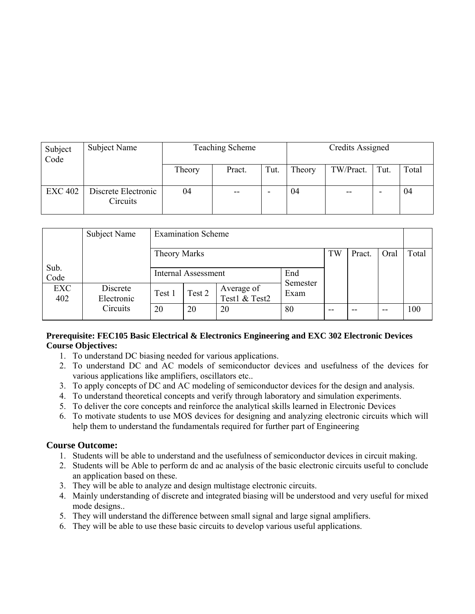| Subject<br>Code | Subject Name                    |        | Teaching Scheme | Credits Assigned |        |           |      |       |
|-----------------|---------------------------------|--------|-----------------|------------------|--------|-----------|------|-------|
|                 |                                 | Theory | Pract.          | Tut.             | Theory | TW/Pract. | Tut. | Total |
| <b>EXC 402</b>  | Discrete Electronic<br>Circuits | 04     | --              |                  | 04     | $- -$     |      | 04    |

|                   | Subject Name           | <b>Examination Scheme</b>            |        |                             |                  |    |    |       |     |  |
|-------------------|------------------------|--------------------------------------|--------|-----------------------------|------------------|----|----|-------|-----|--|
|                   |                        | TW<br>Theory Marks<br>Pract.<br>Oral |        |                             |                  |    |    |       |     |  |
| Sub.<br>Code      |                        | End<br><b>Internal Assessment</b>    |        |                             |                  |    |    |       |     |  |
| <b>EXC</b><br>402 | Discrete<br>Electronic | Test 1                               | Test 2 | Average of<br>Test1 & Test2 | Semester<br>Exam |    |    |       |     |  |
|                   | Circuits               | 20                                   | 20     | 20                          | 80               | -- | -- | $- -$ | 100 |  |

#### **Prerequisite: FEC105 Basic Electrical & Electronics Engineering and EXC 302 Electronic Devices Course Objectives:**

- 1. To understand DC biasing needed for various applications.
- 2. To understand DC and AC models of semiconductor devices and usefulness of the devices for various applications like amplifiers, oscillators etc..
- 3. To apply concepts of DC and AC modeling of semiconductor devices for the design and analysis.
- 4. To understand theoretical concepts and verify through laboratory and simulation experiments.
- 5. To deliver the core concepts and reinforce the analytical skills learned in Electronic Devices
- 6. To motivate students to use MOS devices for designing and analyzing electronic circuits which will help them to understand the fundamentals required for further part of Engineering

#### **Course Outcome:**

- 1. Students will be able to understand and the usefulness of semiconductor devices in circuit making.
- 2. Students will be Able to perform dc and ac analysis of the basic electronic circuits useful to conclude an application based on these.
- 3. They will be able to analyze and design multistage electronic circuits.
- 4. Mainly understanding of discrete and integrated biasing will be understood and very useful for mixed mode designs..
- 5. They will understand the difference between small signal and large signal amplifiers.
- 6. They will be able to use these basic circuits to develop various useful applications.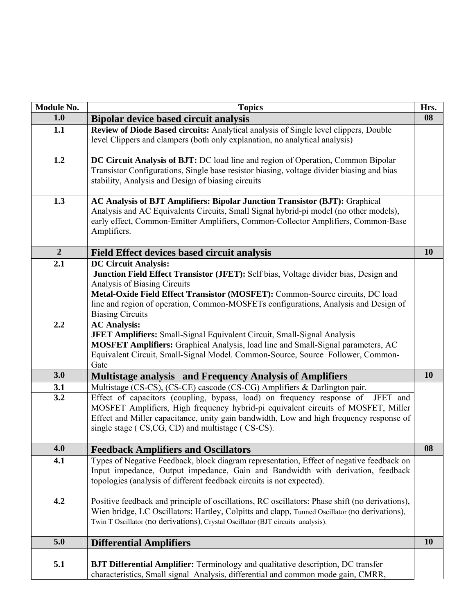| Module No.     | <b>Topics</b>                                                                                                                                                                                                                                                                                                                                          | Hrs.      |
|----------------|--------------------------------------------------------------------------------------------------------------------------------------------------------------------------------------------------------------------------------------------------------------------------------------------------------------------------------------------------------|-----------|
| 1.0            | <b>Bipolar device based circuit analysis</b>                                                                                                                                                                                                                                                                                                           | 08        |
| 1.1            | Review of Diode Based circuits: Analytical analysis of Single level clippers, Double<br>level Clippers and clampers (both only explanation, no analytical analysis)                                                                                                                                                                                    |           |
| 1.2            | DC Circuit Analysis of BJT: DC load line and region of Operation, Common Bipolar<br>Transistor Configurations, Single base resistor biasing, voltage divider biasing and bias<br>stability, Analysis and Design of biasing circuits                                                                                                                    |           |
| 1.3            | <b>AC Analysis of BJT Amplifiers: Bipolar Junction Transistor (BJT): Graphical</b><br>Analysis and AC Equivalents Circuits, Small Signal hybrid-pi model (no other models),<br>early effect, Common-Emitter Amplifiers, Common-Collector Amplifiers, Common-Base<br>Amplifiers.                                                                        |           |
| $\overline{2}$ | <b>Field Effect devices based circuit analysis</b>                                                                                                                                                                                                                                                                                                     | <b>10</b> |
| 2.1            | <b>DC Circuit Analysis:</b><br>Junction Field Effect Transistor (JFET): Self bias, Voltage divider bias, Design and<br>Analysis of Biasing Circuits<br>Metal-Oxide Field Effect Transistor (MOSFET): Common-Source circuits, DC load<br>line and region of operation, Common-MOSFETs configurations, Analysis and Design of<br><b>Biasing Circuits</b> |           |
| 2.2            | <b>AC Analysis:</b><br>JFET Amplifiers: Small-Signal Equivalent Circuit, Small-Signal Analysis<br>MOSFET Amplifiers: Graphical Analysis, load line and Small-Signal parameters, AC<br>Equivalent Circuit, Small-Signal Model. Common-Source, Source Follower, Common-<br>Gate                                                                          |           |
| 3.0            | <b>Multistage analysis and Frequency Analysis of Amplifiers</b>                                                                                                                                                                                                                                                                                        | 10        |
| 3.1            | Multistage (CS-CS), (CS-CE) cascode (CS-CG) Amplifiers & Darlington pair.                                                                                                                                                                                                                                                                              |           |
| 3.2            | Effect of capacitors (coupling, bypass, load) on frequency response of<br>JFET and<br>MOSFET Amplifiers, High frequency hybrid-pi equivalent circuits of MOSFET, Miller<br>Effect and Miller capacitance, unity gain bandwidth, Low and high frequency response of<br>single stage (CS,CG, CD) and multistage (CS-CS).                                 |           |
| 4.0            | <b>Feedback Amplifiers and Oscillators</b>                                                                                                                                                                                                                                                                                                             | 08        |
| 4.1            | Types of Negative Feedback, block diagram representation, Effect of negative feedback on<br>Input impedance, Output impedance, Gain and Bandwidth with derivation, feedback<br>topologies (analysis of different feedback circuits is not expected).                                                                                                   |           |
| 4.2            | Positive feedback and principle of oscillations, RC oscillators: Phase shift (no derivations),<br>Wien bridge, LC Oscillators: Hartley, Colpitts and clapp, Tunned Oscillator (no derivations),<br>Twin T Oscillator (no derivations), Crystal Oscillator (BJT circuits analysis).                                                                     |           |
| 5.0            | <b>Differential Amplifiers</b>                                                                                                                                                                                                                                                                                                                         | <b>10</b> |
| 5.1            | <b>BJT Differential Amplifier:</b> Terminology and qualitative description, DC transfer<br>characteristics, Small signal Analysis, differential and common mode gain, CMRR,                                                                                                                                                                            |           |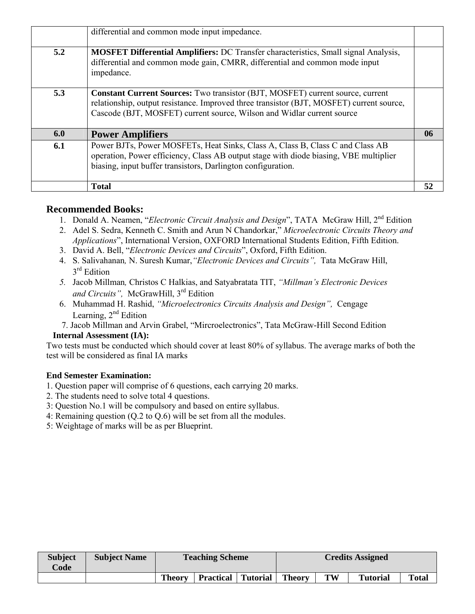|     | differential and common mode input impedance.                                                                                                                                                                                                               |    |
|-----|-------------------------------------------------------------------------------------------------------------------------------------------------------------------------------------------------------------------------------------------------------------|----|
| 5.2 | <b>MOSFET Differential Amplifiers:</b> DC Transfer characteristics, Small signal Analysis,<br>differential and common mode gain, CMRR, differential and common mode input<br>impedance.                                                                     |    |
| 5.3 | <b>Constant Current Sources:</b> Two transistor (BJT, MOSFET) current source, current<br>relationship, output resistance. Improved three transistor (BJT, MOSFET) current source,<br>Cascode (BJT, MOSFET) current source, Wilson and Widlar current source |    |
| 6.0 | <b>Power Amplifiers</b>                                                                                                                                                                                                                                     | 06 |
| 6.1 | Power BJTs, Power MOSFETs, Heat Sinks, Class A, Class B, Class C and Class AB<br>operation, Power efficiency, Class AB output stage with diode biasing, VBE multiplier<br>biasing, input buffer transistors, Darlington configuration.                      |    |
|     | <b>Total</b>                                                                                                                                                                                                                                                | 52 |

#### **Recommended Books:**

- 1. Donald A. Neamen, "*Electronic Circuit Analysis and Design*", TATA McGraw Hill, 2nd Edition
- 2. Adel S. Sedra, Kenneth C. Smith and Arun N Chandorkar," *Microelectronic Circuits Theory and Applications*", International Version, OXFORD International Students Edition, Fifth Edition.
- 3. David A. Bell, "*Electronic Devices and Circuits*", Oxford, Fifth Edition.
- 4. S. Salivahanan*,* N. Suresh Kumar,*"Electronic Devices and Circuits",* Tata McGraw Hill, 3<sup>rd</sup> Edition
- *5.* Jacob Millman*,* Christos C Halkias, and Satyabratata TIT, *"Millman's Electronic Devices and Circuits",* McGrawHill, 3rd Edition
- 6. Muhammad H. Rashid, *"Microelectronics Circuits Analysis and Design",* Cengage Learning,  $2<sup>nd</sup>$  Edition
- 7. Jacob Millman and Arvin Grabel, "Mircroelectronics", Tata McGraw-Hill Second Edition  **Internal Assessment (IA):**

Two tests must be conducted which should cover at least 80% of syllabus. The average marks of both the test will be considered as final IA marks

- 1. Question paper will comprise of 6 questions, each carrying 20 marks.
- 2. The students need to solve total 4 questions.
- 3: Question No.1 will be compulsory and based on entire syllabus.
- 4: Remaining question (Q.2 to Q.6) will be set from all the modules.
- 5: Weightage of marks will be as per Blueprint.

| <b>Subject</b><br>Code | <b>Subject Name</b> |               | <b>Teaching Scheme</b> |          |               |    | <b>Credits Assigned</b> |              |
|------------------------|---------------------|---------------|------------------------|----------|---------------|----|-------------------------|--------------|
|                        |                     | <b>Theory</b> | <b>Practical</b>       | Tutorial | <b>Theory</b> | TW | <b>Tutorial</b>         | <b>Total</b> |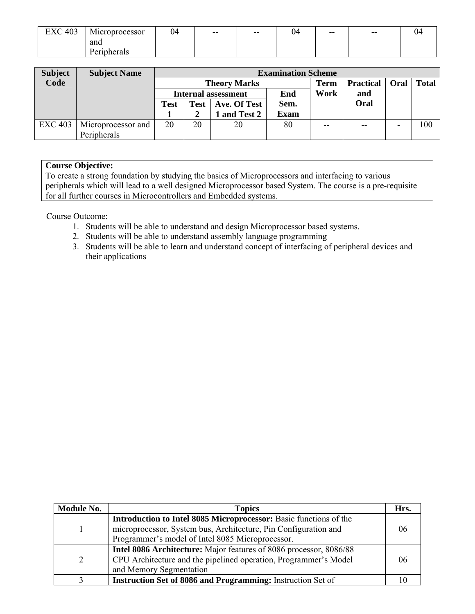| 403<br>гv,<br>$\lambda$<br>◡▴ | . .<br>Microprocessor | 04 | $- -$ | $- -$ | 04 | $- -$ | $- -$ | 04 |
|-------------------------------|-----------------------|----|-------|-------|----|-------|-------|----|
|                               | and                   |    |       |       |    |       |       |    |
|                               | herals<br>u           |    |       |       |    |       |       |    |

| <b>Subject</b> | <b>Subject Name</b> |                              | <b>Examination Scheme</b> |                            |             |             |                  |             |              |  |
|----------------|---------------------|------------------------------|---------------------------|----------------------------|-------------|-------------|------------------|-------------|--------------|--|
| Code           |                     |                              |                           | <b>Theory Marks</b>        |             | <b>Term</b> | <b>Practical</b> | <b>Oral</b> | <b>Total</b> |  |
|                |                     |                              |                           | <b>Internal assessment</b> | End         | Work        | and              |             |              |  |
|                |                     | Ave. Of Test<br>Test<br>Test |                           |                            | Sem.        |             | Oral             |             |              |  |
|                |                     |                              |                           | 1 and Test 2               | <b>Exam</b> |             |                  |             |              |  |
| <b>EXC 403</b> | Microprocessor and  | 20                           | 20                        | 20                         | 80          | $- -$       | $- -$            |             | 100          |  |
|                | Peripherals         |                              |                           |                            |             |             |                  |             |              |  |

#### **Course Objective:**

To create a strong foundation by studying the basics of Microprocessors and interfacing to various peripherals which will lead to a well designed Microprocessor based System. The course is a pre-requisite for all further courses in Microcontrollers and Embedded systems.

Course Outcome:

- 1. Students will be able to understand and design Microprocessor based systems.
- 2. Students will be able to understand assembly language programming
- 3. Students will be able to learn and understand concept of interfacing of peripheral devices and their applications

| Module No.    | <b>Topics</b>                                                                                                       | Hrs. |
|---------------|---------------------------------------------------------------------------------------------------------------------|------|
|               | Introduction to Intel 8085 Microprocessor: Basic functions of the                                                   |      |
|               | microprocessor, System bus, Architecture, Pin Configuration and<br>Programmer's model of Intel 8085 Microprocessor. | 06   |
|               | Intel 8086 Architecture: Major features of 8086 processor, 8086/88                                                  |      |
| $\mathcal{D}$ | CPU Architecture and the pipelined operation, Programmer's Model                                                    | 06   |
|               | and Memory Segmentation                                                                                             |      |
|               | Instruction Set of 8086 and Programming: Instruction Set of                                                         |      |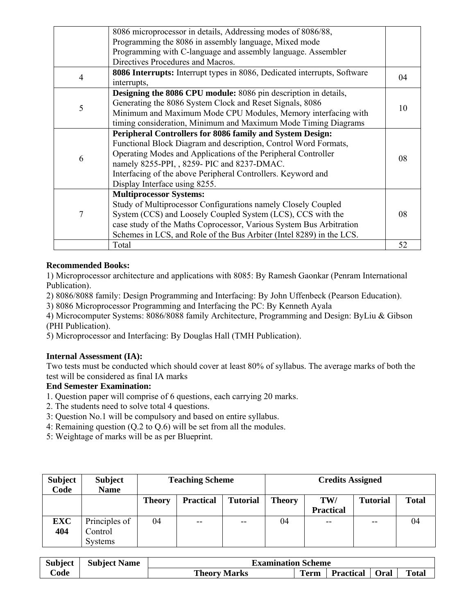|   | 8086 microprocessor in details, Addressing modes of 8086/88,                    |    |  |
|---|---------------------------------------------------------------------------------|----|--|
|   | Programming the 8086 in assembly language, Mixed mode                           |    |  |
|   | Programming with C-language and assembly language. Assembler                    |    |  |
|   | Directives Procedures and Macros.                                               |    |  |
| 4 | <b>8086 Interrupts:</b> Interrupt types in 8086, Dedicated interrupts, Software | 04 |  |
|   | interrupts,                                                                     |    |  |
|   | <b>Designing the 8086 CPU module:</b> 8086 pin description in details,          |    |  |
| 5 | Generating the 8086 System Clock and Reset Signals, 8086                        | 10 |  |
|   | Minimum and Maximum Mode CPU Modules, Memory interfacing with                   |    |  |
|   | timing consideration, Minimum and Maximum Mode Timing Diagrams                  |    |  |
|   | <b>Peripheral Controllers for 8086 family and System Design:</b>                |    |  |
|   | Functional Block Diagram and description, Control Word Formats,                 |    |  |
|   | Operating Modes and Applications of the Peripheral Controller                   | 08 |  |
| 6 | namely 8255-PPI, , 8259- PIC and 8237-DMAC.                                     |    |  |
|   | Interfacing of the above Peripheral Controllers. Keyword and                    |    |  |
|   | Display Interface using 8255.                                                   |    |  |
|   | <b>Multiprocessor Systems:</b>                                                  |    |  |
|   | Study of Multiprocessor Configurations namely Closely Coupled                   |    |  |
| 7 | System (CCS) and Loosely Coupled System (LCS), CCS with the                     |    |  |
|   | case study of the Maths Coprocessor, Various System Bus Arbitration             |    |  |
|   | Schemes in LCS, and Role of the Bus Arbiter (Intel 8289) in the LCS.            |    |  |
|   | Total                                                                           | 52 |  |

#### **Recommended Books:**

1) Microprocessor architecture and applications with 8085: By Ramesh Gaonkar (Penram International Publication).

2) 8086/8088 family: Design Programming and Interfacing: By John Uffenbeck (Pearson Education).

3) 8086 Microprocessor Programming and Interfacing the PC: By Kenneth Ayala

4) Microcomputer Systems: 8086/8088 family Architecture, Programming and Design: ByLiu & Gibson (PHI Publication).

5) Microprocessor and Interfacing: By Douglas Hall (TMH Publication).

#### **Internal Assessment (IA):**

Two tests must be conducted which should cover at least 80% of syllabus. The average marks of both the test will be considered as final IA marks

- 1. Question paper will comprise of 6 questions, each carrying 20 marks.
- 2. The students need to solve total 4 questions.
- 3: Question No.1 will be compulsory and based on entire syllabus.
- 4: Remaining question (Q.2 to Q.6) will be set from all the modules.
- 5: Weightage of marks will be as per Blueprint.

| <b>Subject</b><br>Code | <b>Subject</b><br><b>Name</b> |               | <b>Teaching Scheme</b> |                 |               | <b>Credits Assigned</b> |                 |              |  |  |
|------------------------|-------------------------------|---------------|------------------------|-----------------|---------------|-------------------------|-----------------|--------------|--|--|
|                        |                               | <b>Theory</b> | <b>Practical</b>       | <b>Tutorial</b> | <b>Theory</b> | TW/<br><b>Practical</b> | <b>Tutorial</b> | <b>Total</b> |  |  |
| <b>EXC</b>             | Principles of                 | 04            | $- -$                  | $- -$           | 04            | $- -$                   | --              | 04           |  |  |
| 404                    | Control<br><b>Systems</b>     |               |                        |                 |               |                         |                 |              |  |  |

| <b>Subject</b> | <b>Subject Name</b> |                     | <b>Examination Scheme</b> |                  |      |              |  |  |  |
|----------------|---------------------|---------------------|---------------------------|------------------|------|--------------|--|--|--|
| Code           |                     | <b>Theory Marks</b> | <b>Term</b>               | <b>Practical</b> | Oral | <b>Total</b> |  |  |  |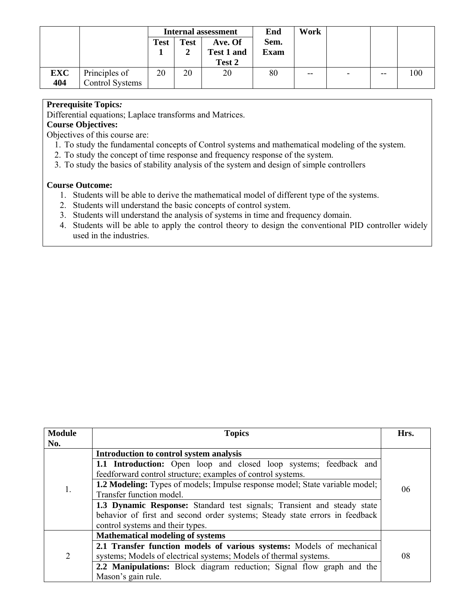|            |                 |             |             | <b>Internal assessment</b> | End         | Work |                          |     |     |
|------------|-----------------|-------------|-------------|----------------------------|-------------|------|--------------------------|-----|-----|
|            |                 | <b>Test</b> | <b>Test</b> | Ave. Of                    | Sem.        |      |                          |     |     |
|            |                 |             |             | Test 1 and                 | <b>Exam</b> |      |                          |     |     |
|            |                 |             |             | Test 2                     |             |      |                          |     |     |
| <b>EXC</b> | Principles of   | 20          | 20          | 20                         | 80          | $-$  | $\overline{\phantom{0}}$ | $-$ | 100 |
| 404        | Control Systems |             |             |                            |             |      |                          |     |     |

#### **Prerequisite Topics***:*

Differential equations; Laplace transforms and Matrices.

### **Course Objectives:**

Objectives of this course are:

- 1. To study the fundamental concepts of Control systems and mathematical modeling of the system.
- 2. To study the concept of time response and frequency response of the system.
- 3. To study the basics of stability analysis of the system and design of simple controllers

#### **Course Outcome:**

- 1. Students will be able to derive the mathematical model of different type of the systems.
- 2. Students will understand the basic concepts of control system.
- 3. Students will understand the analysis of systems in time and frequency domain.
- 4. Students will be able to apply the control theory to design the conventional PID controller widely used in the industries.

| <b>Module</b><br>No. | <b>Topics</b>                                                                       | Hrs. |  |  |
|----------------------|-------------------------------------------------------------------------------------|------|--|--|
|                      | Introduction to control system analysis                                             |      |  |  |
|                      | 1.1 Introduction: Open loop and closed loop systems; feedback and                   |      |  |  |
|                      | feedforward control structure; examples of control systems.                         |      |  |  |
| 1.                   | <b>1.2 Modeling:</b> Types of models; Impulse response model; State variable model; | 06   |  |  |
|                      | Transfer function model.                                                            |      |  |  |
|                      | 1.3 Dynamic Response: Standard test signals; Transient and steady state             |      |  |  |
|                      | behavior of first and second order systems; Steady state errors in feedback         |      |  |  |
|                      | control systems and their types.                                                    |      |  |  |
|                      | <b>Mathematical modeling of systems</b>                                             |      |  |  |
|                      | 2.1 Transfer function models of various systems: Models of mechanical               |      |  |  |
| $\overline{2}$       | systems; Models of electrical systems; Models of thermal systems.                   | 08   |  |  |
|                      | 2.2 Manipulations: Block diagram reduction; Signal flow graph and the               |      |  |  |
|                      | Mason's gain rule.                                                                  |      |  |  |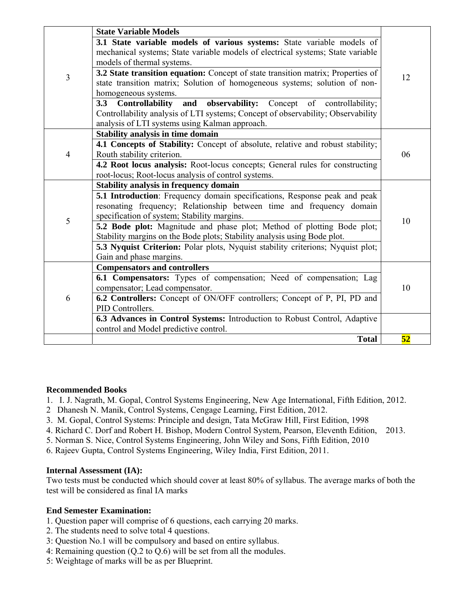|   | <b>State Variable Models</b>                                                     |    |  |  |  |  |  |
|---|----------------------------------------------------------------------------------|----|--|--|--|--|--|
|   | 3.1 State variable models of various systems: State variable models of           |    |  |  |  |  |  |
|   | mechanical systems; State variable models of electrical systems; State variable  |    |  |  |  |  |  |
|   | models of thermal systems.                                                       |    |  |  |  |  |  |
| 3 | 3.2 State transition equation: Concept of state transition matrix; Properties of | 12 |  |  |  |  |  |
|   | state transition matrix; Solution of homogeneous systems; solution of non-       |    |  |  |  |  |  |
|   | homogeneous systems.                                                             |    |  |  |  |  |  |
|   | Controllability and observability: Concept<br>3.3<br>of controllability;         |    |  |  |  |  |  |
|   | Controllability analysis of LTI systems; Concept of observability; Observability |    |  |  |  |  |  |
|   | analysis of LTI systems using Kalman approach.                                   |    |  |  |  |  |  |
|   | <b>Stability analysis in time domain</b>                                         |    |  |  |  |  |  |
|   | 4.1 Concepts of Stability: Concept of absolute, relative and robust stability;   |    |  |  |  |  |  |
| 4 | Routh stability criterion.                                                       | 06 |  |  |  |  |  |
|   | 4.2 Root locus analysis: Root-locus concepts; General rules for constructing     |    |  |  |  |  |  |
|   | root-locus; Root-locus analysis of control systems.                              |    |  |  |  |  |  |
|   | <b>Stability analysis in frequency domain</b>                                    |    |  |  |  |  |  |
|   | 5.1 Introduction: Frequency domain specifications, Response peak and peak        |    |  |  |  |  |  |
|   | resonating frequency; Relationship between time and frequency domain             |    |  |  |  |  |  |
| 5 | specification of system; Stability margins.                                      | 10 |  |  |  |  |  |
|   | 5.2 Bode plot: Magnitude and phase plot; Method of plotting Bode plot;           |    |  |  |  |  |  |
|   | Stability margins on the Bode plots; Stability analysis using Bode plot.         |    |  |  |  |  |  |
|   | 5.3 Nyquist Criterion: Polar plots, Nyquist stability criterions; Nyquist plot;  |    |  |  |  |  |  |
|   | Gain and phase margins.                                                          |    |  |  |  |  |  |
|   | <b>Compensators and controllers</b>                                              |    |  |  |  |  |  |
|   | 6.1 Compensators: Types of compensation; Need of compensation; Lag               |    |  |  |  |  |  |
|   | compensator; Lead compensator.                                                   | 10 |  |  |  |  |  |
| 6 | 6.2 Controllers: Concept of ON/OFF controllers; Concept of P, PI, PD and         |    |  |  |  |  |  |
|   | PID Controllers.                                                                 |    |  |  |  |  |  |
|   | 6.3 Advances in Control Systems: Introduction to Robust Control, Adaptive        |    |  |  |  |  |  |
|   | control and Model predictive control.                                            |    |  |  |  |  |  |
|   | <b>Total</b>                                                                     | 52 |  |  |  |  |  |

#### **Recommended Books**

- 1. I. J. Nagrath, M. Gopal, Control Systems Engineering, New Age International, Fifth Edition, 2012.
- 2 Dhanesh N. Manik, Control Systems, Cengage Learning, First Edition, 2012.
- 3. M. Gopal, Control Systems: Principle and design, Tata McGraw Hill, First Edition, 1998
- 4. Richard C. Dorf and Robert H. Bishop, Modern Control System, Pearson, Eleventh Edition, 2013.
- 5. Norman S. Nice, Control Systems Engineering, John Wiley and Sons, Fifth Edition, 2010
- 6. Rajeev Gupta, Control Systems Engineering, Wiley India, First Edition, 2011.

#### **Internal Assessment (IA):**

Two tests must be conducted which should cover at least 80% of syllabus. The average marks of both the test will be considered as final IA marks

- 1. Question paper will comprise of 6 questions, each carrying 20 marks.
- 2. The students need to solve total 4 questions.
- 3: Question No.1 will be compulsory and based on entire syllabus.
- 4: Remaining question (Q.2 to Q.6) will be set from all the modules.
- 5: Weightage of marks will be as per Blueprint.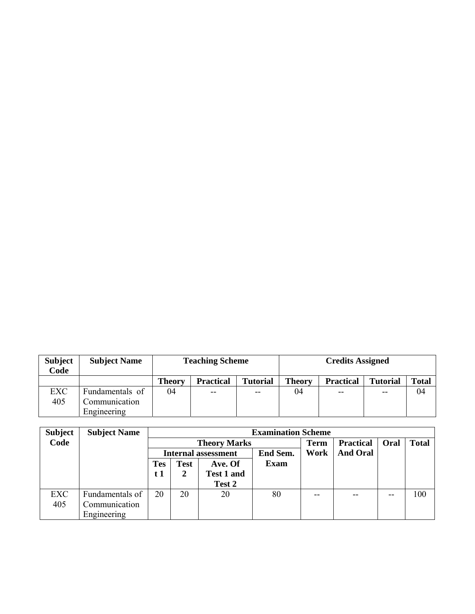| <b>Subject</b><br>Code | <b>Subject Name</b>              |               | <b>Teaching Scheme</b><br><b>Credits Assigned</b> |                 |               |                  |                 |              |
|------------------------|----------------------------------|---------------|---------------------------------------------------|-----------------|---------------|------------------|-----------------|--------------|
|                        |                                  | <b>Theory</b> | <b>Practical</b>                                  | <b>Tutorial</b> | <b>Theory</b> | <b>Practical</b> | <b>Tutorial</b> | <b>Total</b> |
| <b>EXC</b><br>405      | Fundamentals of<br>Communication | 04            | $- -$                                             | --              | 04            | $- -$            | --              | 04           |
|                        | Engineering                      |               |                                                   |                 |               |                  |                 |              |

| <b>Subject</b> | <b>Subject Name</b> |                            | <b>Examination Scheme</b> |                     |             |             |                  |             |              |  |  |
|----------------|---------------------|----------------------------|---------------------------|---------------------|-------------|-------------|------------------|-------------|--------------|--|--|
| Code           |                     |                            |                           | <b>Theory Marks</b> |             | <b>Term</b> | <b>Practical</b> | <b>Oral</b> | <b>Total</b> |  |  |
|                |                     | <b>Internal assessment</b> |                           |                     | End Sem.    | Work        | <b>And Oral</b>  |             |              |  |  |
|                |                     | <b>Tes</b>                 | <b>Test</b>               | Ave. Of             | <b>Exam</b> |             |                  |             |              |  |  |
|                |                     | t 1                        |                           | <b>Test 1 and</b>   |             |             |                  |             |              |  |  |
|                |                     |                            |                           | Test 2              |             |             |                  |             |              |  |  |
| EXC            | Fundamentals of     | 20                         | 20                        | 20                  | 80          | $- -$       | --               | $- -$       | 100          |  |  |
| 405            | Communication       |                            |                           |                     |             |             |                  |             |              |  |  |
|                | Engineering         |                            |                           |                     |             |             |                  |             |              |  |  |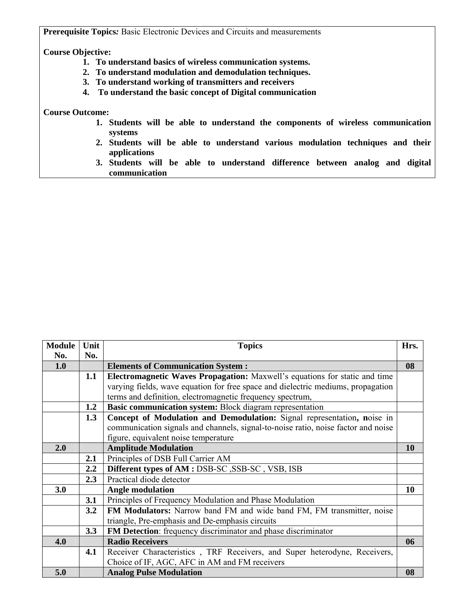**Prerequisite Topics***:* Basic Electronic Devices and Circuits and measurements

#### **Course Objective:**

- **1. To understand basics of wireless communication systems.**
- **2. To understand modulation and demodulation techniques.**
- **3. To understand working of transmitters and receivers**
- **4. To understand the basic concept of Digital communication**

**Course Outcome:** 

- **1. Students will be able to understand the components of wireless communication systems**
- **2. Students will be able to understand various modulation techniques and their applications**
- **3. Students will be able to understand difference between analog and digital communication**

| <b>Module</b> | Unit | <b>Topics</b>                                                                     | Hrs. |
|---------------|------|-----------------------------------------------------------------------------------|------|
| No.           | No.  |                                                                                   |      |
| 1.0           |      | <b>Elements of Communication System:</b>                                          | 08   |
|               | 1.1  | Electromagnetic Waves Propagation: Maxwell's equations for static and time        |      |
|               |      | varying fields, wave equation for free space and dielectric mediums, propagation  |      |
|               |      | terms and definition, electromagnetic frequency spectrum,                         |      |
|               | 1.2  | Basic communication system: Block diagram representation                          |      |
|               | 1.3  | Concept of Modulation and Demodulation: Signal representation, noise in           |      |
|               |      | communication signals and channels, signal-to-noise ratio, noise factor and noise |      |
|               |      | figure, equivalent noise temperature                                              |      |
| 2.0           |      | <b>Amplitude Modulation</b>                                                       | 10   |
|               | 2.1  | Principles of DSB Full Carrier AM                                                 |      |
|               | 2.2  | Different types of AM : DSB-SC , SSB-SC , VSB, ISB                                |      |
|               | 2.3  | Practical diode detector                                                          |      |
| 3.0           |      | <b>Angle modulation</b>                                                           | 10   |
|               | 3.1  | Principles of Frequency Modulation and Phase Modulation                           |      |
|               | 3.2  | FM Modulators: Narrow band FM and wide band FM, FM transmitter, noise             |      |
|               |      | triangle, Pre-emphasis and De-emphasis circuits                                   |      |
|               | 3.3  | FM Detection: frequency discriminator and phase discriminator                     |      |
| 4.0           |      | <b>Radio Receivers</b>                                                            | 06   |
|               | 4.1  | Receiver Characteristics, TRF Receivers, and Super heterodyne, Receivers,         |      |
|               |      | Choice of IF, AGC, AFC in AM and FM receivers                                     |      |
| 5.0           |      | <b>Analog Pulse Modulation</b>                                                    | 08   |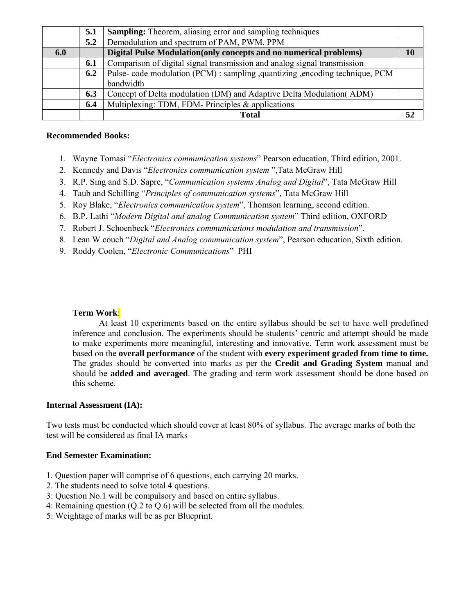|     | 5.1 | <b>Sampling:</b> Theorem, aliasing error and sampling techniques              |    |
|-----|-----|-------------------------------------------------------------------------------|----|
|     | 5.2 | Demodulation and spectrum of PAM, PWM, PPM                                    |    |
| 6.0 |     | Digital Pulse Modulation (only concepts and no numerical problems)            | 10 |
|     | 6.1 | Comparison of digital signal transmission and analog signal transmission      |    |
|     | 6.2 | Pulse- code modulation (PCM): sampling , quantizing , encoding technique, PCM |    |
|     |     | bandwidth                                                                     |    |
|     | 6.3 | Concept of Delta modulation (DM) and Adaptive Delta Modulation (ADM)          |    |
|     | 6.4 | Multiplexing: TDM, FDM- Principles & applications                             |    |
|     |     | <b>Total</b>                                                                  | 52 |

#### **Recommended Books:**

- 1. Wayne Tomasi "*Electronics communication systems*" Pearson education, Third edition, 2001.
- 2. Kennedy and Davis "*Electronics communication system* ",Tata McGraw Hill
- 3. R.P. Sing and S.D. Sapre, "*Communication systems Analog and Digital*", Tata McGraw Hill
- 4. Taub and Schilling "*Principles of communication systems*", Tata McGraw Hill
- 5. Roy Blake, "*Electronics communication system*", Thomson learning, second edition.
- 6. B.P. Lathi "*Modern Digital and analog Communication system*" Third edition, OXFORD
- 7. Robert J. Schoenbeck "*Electronics communications modulation and transmission*".
- 8. Lean W couch "*Digital and Analog communication system*", Pearson education, Sixth edition.
- 9. Roddy Coolen, "*Electronic Communications*" PHI

#### **Term Work**:

At least 10 experiments based on the entire syllabus should be set to have well predefined inference and conclusion. The experiments should be students' centric and attempt should be made to make experiments more meaningful, interesting and innovative. Term work assessment must be based on the **overall performance** of the student with **every experiment graded from time to time.** The grades should be converted into marks as per the **Credit and Grading System** manual and should be **added and averaged**. The grading and term work assessment should be done based on this scheme.

#### **Internal Assessment (IA):**

Two tests must be conducted which should cover at least 80% of syllabus. The average marks of both the test will be considered as final IA marks

- 1. Question paper will comprise of 6 questions, each carrying 20 marks.
- 2. The students need to solve total 4 questions.
- 3: Question No.1 will be compulsory and based on entire syllabus.
- 4: Remaining question (Q.2 to Q.6) will be selected from all the modules.
- 5: Weightage of marks will be as per Blueprint.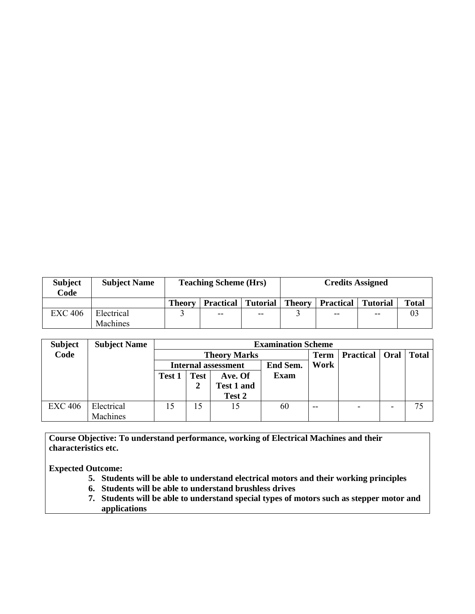| <b>Subject</b><br>Code | <b>Subject Name</b> | <b>Teaching Scheme (Hrs)</b><br><b>Credits Assigned</b> |                  |                 |               |                  |                 |              |
|------------------------|---------------------|---------------------------------------------------------|------------------|-----------------|---------------|------------------|-----------------|--------------|
|                        |                     | <b>Theory</b>                                           | <b>Practical</b> | <b>Tutorial</b> | <b>Theory</b> | <b>Practical</b> | <b>Tutorial</b> | <b>Total</b> |
| <b>EXC 406</b>         | Electrical          |                                                         | $- -$            | $- -$           |               | $- -$            | $-$             | U            |
|                        | Machines            |                                                         |                  |                 |               |                  |                 |              |

| <b>Subject</b> | <b>Subject Name</b> |                                        | <b>Examination Scheme</b> |                     |             |                  |      |              |    |  |  |
|----------------|---------------------|----------------------------------------|---------------------------|---------------------|-------------|------------------|------|--------------|----|--|--|
| Code           |                     |                                        |                           | <b>Theory Marks</b> | <b>Term</b> | <b>Practical</b> | Oral | <b>Total</b> |    |  |  |
|                |                     | End Sem.<br><b>Internal assessment</b> |                           |                     |             | Work             |      |              |    |  |  |
|                |                     | Test<br>Ave. Of<br>Test 1              |                           | <b>Exam</b>         |             |                  |      |              |    |  |  |
|                |                     |                                        | 2                         | <b>Test 1 and</b>   |             |                  |      |              |    |  |  |
|                |                     |                                        |                           | Test 2              |             |                  |      |              |    |  |  |
| <b>EXC 406</b> | Electrical          | 15                                     | 15                        | 15                  | 60          | $- -$            |      |              | 75 |  |  |
|                | Machines            |                                        |                           |                     |             |                  |      |              |    |  |  |

**Course Objective: To understand performance, working of Electrical Machines and their characteristics etc.** 

**Expected Outcome:** 

- **5. Students will be able to understand electrical motors and their working principles**
- **6. Students will be able to understand brushless drives**
- **7. Students will be able to understand special types of motors such as stepper motor and applications**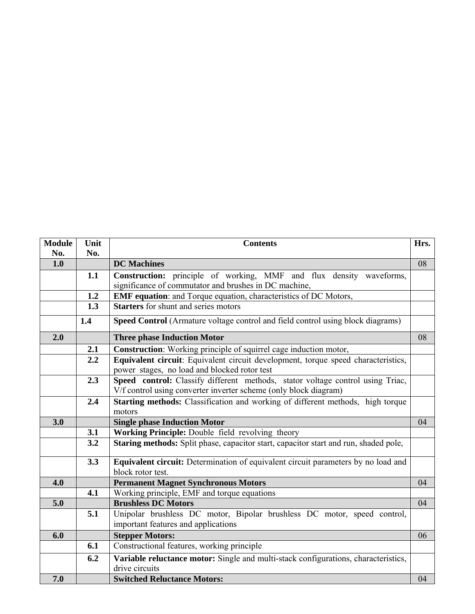| <b>Module</b> | Unit | <b>Contents</b>                                                                                        | Hrs. |
|---------------|------|--------------------------------------------------------------------------------------------------------|------|
| No.           | No.  |                                                                                                        |      |
| 1.0           |      | <b>DC</b> Machines                                                                                     | 08   |
|               | 1.1  | Construction: principle of working, MMF and flux density waveforms,                                    |      |
|               |      | significance of commutator and brushes in DC machine,                                                  |      |
|               | 1.2  | <b>EMF equation:</b> and Torque equation, characteristics of DC Motors,                                |      |
|               | 1.3  | <b>Starters</b> for shunt and series motors                                                            |      |
|               | 1.4  | Speed Control (Armature voltage control and field control using block diagrams)                        |      |
| 2.0           |      | <b>Three phase Induction Motor</b>                                                                     | 08   |
|               | 2.1  | <b>Construction</b> : Working principle of squirrel cage induction motor,                              |      |
|               | 2.2  | Equivalent circuit: Equivalent circuit development, torque speed characteristics,                      |      |
|               |      | power stages, no load and blocked rotor test                                                           |      |
|               | 2.3  | Speed control: Classify different methods, stator voltage control using Triac,                         |      |
|               |      | V/f control using converter inverter scheme (only block diagram)                                       |      |
|               | 2.4  | Starting methods: Classification and working of different methods, high torque                         |      |
|               |      | motors                                                                                                 |      |
| 3.0           |      | <b>Single phase Induction Motor</b>                                                                    | 04   |
|               | 3.1  | Working Principle: Double field revolving theory                                                       |      |
|               | 3.2  | Staring methods: Split phase, capacitor start, capacitor start and run, shaded pole,                   |      |
|               | 3.3  | Equivalent circuit: Determination of equivalent circuit parameters by no load and<br>block rotor test. |      |
| 4.0           |      | <b>Permanent Magnet Synchronous Motors</b>                                                             | 04   |
|               | 4.1  | Working principle, EMF and torque equations                                                            |      |
| 5.0           |      | <b>Brushless DC Motors</b>                                                                             | 04   |
|               | 5.1  | Unipolar brushless DC motor, Bipolar brushless DC motor, speed control,                                |      |
|               |      | important features and applications                                                                    |      |
| 6.0           |      | <b>Stepper Motors:</b>                                                                                 | 06   |
|               | 6.1  | Constructional features, working principle                                                             |      |
|               | 6.2  | Variable reluctance motor: Single and multi-stack configurations, characteristics,                     |      |
|               |      | drive circuits                                                                                         |      |
| 7.0           |      | <b>Switched Reluctance Motors:</b>                                                                     | 04   |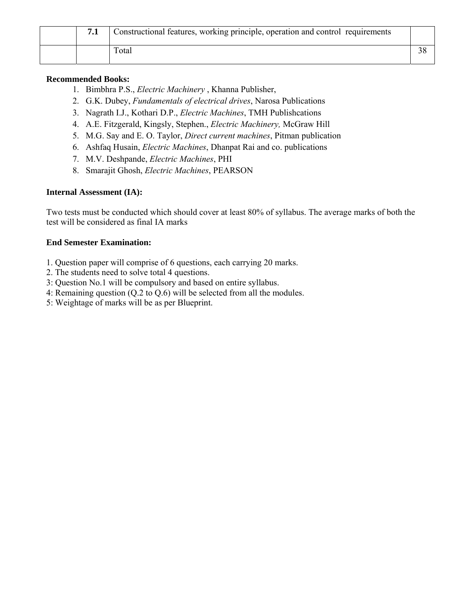|  | Constructional features, working principle, operation and control requirements |  |
|--|--------------------------------------------------------------------------------|--|
|  | Total                                                                          |  |

#### **Recommended Books:**

- 1. Bimbhra P.S., *Electric Machinery* , Khanna Publisher,
- 2. G.K. Dubey, *Fundamentals of electrical drives*, Narosa Publications
- 3. Nagrath I.J., Kothari D.P., *Electric Machines*, TMH Publishcations
- 4. A.E. Fitzgerald, Kingsly, Stephen., *Electric Machinery,* McGraw Hill
- 5. M.G. Say and E. O. Taylor, *Direct current machines*, Pitman publication
- 6. Ashfaq Husain, *Electric Machines*, Dhanpat Rai and co. publications
- 7. M.V. Deshpande, *Electric Machines*, PHI
- 8. Smarajit Ghosh, *Electric Machines*, PEARSON

#### **Internal Assessment (IA):**

Two tests must be conducted which should cover at least 80% of syllabus. The average marks of both the test will be considered as final IA marks

- 1. Question paper will comprise of 6 questions, each carrying 20 marks.
- 2. The students need to solve total 4 questions.
- 3: Question No.1 will be compulsory and based on entire syllabus.
- 4: Remaining question (Q.2 to Q.6) will be selected from all the modules.
- 5: Weightage of marks will be as per Blueprint.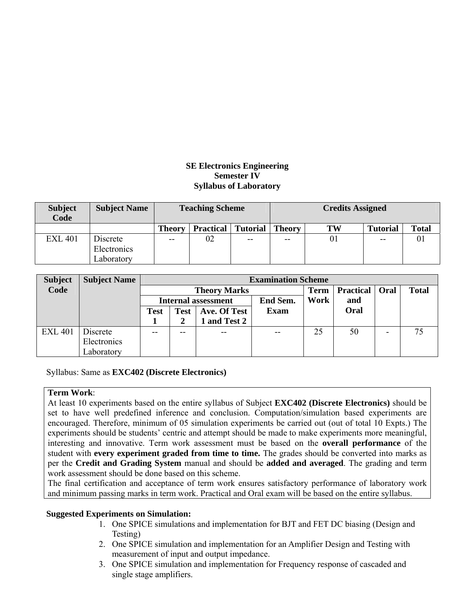#### **SE Electronics Engineering Semester IV Syllabus of Laboratory**

| <b>Subject</b><br><b>Code</b> | <b>Subject Name</b> |               | <b>Teaching Scheme</b> |                 | <b>Credits Assigned</b> |    |                 |              |  |
|-------------------------------|---------------------|---------------|------------------------|-----------------|-------------------------|----|-----------------|--------------|--|
|                               |                     | <b>Theory</b> | <b>Practical</b>       | <b>Tutorial</b> | <b>Theory</b>           | TW | <b>Tutorial</b> | <b>Total</b> |  |
| <b>EXL 401</b>                | Discrete            | $- -$         | 02                     | $- -$           | $-$                     | 01 | $- -$           | 01           |  |
|                               | Electronics         |               |                        |                 |                         |    |                 |              |  |
|                               | Laboratory          |               |                        |                 |                         |    |                 |              |  |

| <b>Subject</b> | <b>Subject Name</b> |      | <b>Examination Scheme</b> |                     |             |             |                  |      |              |  |  |  |
|----------------|---------------------|------|---------------------------|---------------------|-------------|-------------|------------------|------|--------------|--|--|--|
| Code           |                     |      |                           | <b>Theory Marks</b> |             | <b>Term</b> | <b>Practical</b> | Oral | <b>Total</b> |  |  |  |
|                |                     |      |                           | Internal assessment | End Sem.    | Work        | and              |      |              |  |  |  |
|                |                     | Test | <b>Test</b>               | Ave. Of Test        | <b>Exam</b> |             | Oral             |      |              |  |  |  |
|                |                     |      |                           | 1 and Test 2        |             |             |                  |      |              |  |  |  |
| <b>EXL 401</b> | Discrete            |      | --                        | $- -$               | $- -$       | 25          | 50               |      | 75           |  |  |  |
|                | Electronics         |      |                           |                     |             |             |                  |      |              |  |  |  |
|                | Laboratory          |      |                           |                     |             |             |                  |      |              |  |  |  |

Syllabus: Same as **EXC402 (Discrete Electronics)**

#### **Term Work**:

At least 10 experiments based on the entire syllabus of Subject **EXC402 (Discrete Electronics)** should be set to have well predefined inference and conclusion. Computation/simulation based experiments are encouraged. Therefore, minimum of 05 simulation experiments be carried out (out of total 10 Expts.) The experiments should be students' centric and attempt should be made to make experiments more meaningful, interesting and innovative. Term work assessment must be based on the **overall performance** of the student with **every experiment graded from time to time.** The grades should be converted into marks as per the **Credit and Grading System** manual and should be **added and averaged**. The grading and term work assessment should be done based on this scheme.

The final certification and acceptance of term work ensures satisfactory performance of laboratory work and minimum passing marks in term work. Practical and Oral exam will be based on the entire syllabus.

#### **Suggested Experiments on Simulation:**

- 1. One SPICE simulations and implementation for BJT and FET DC biasing (Design and Testing)
- 2. One SPICE simulation and implementation for an Amplifier Design and Testing with measurement of input and output impedance.
- 3. One SPICE simulation and implementation for Frequency response of cascaded and single stage amplifiers.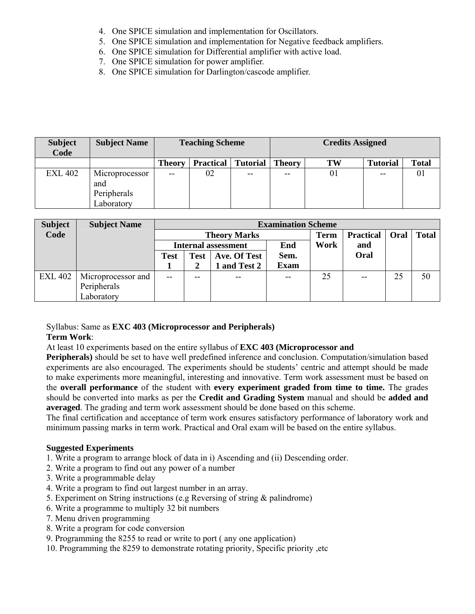- 4. One SPICE simulation and implementation for Oscillators.
- 5. One SPICE simulation and implementation for Negative feedback amplifiers.
- 6. One SPICE simulation for Differential amplifier with active load.
- 7. One SPICE simulation for power amplifier.
- 8. One SPICE simulation for Darlington/cascode amplifier.

| <b>Subject</b><br>Code | <b>Subject Name</b>                                |               | <b>Teaching Scheme</b> |                 | <b>Credits Assigned</b> |           |                 |              |  |
|------------------------|----------------------------------------------------|---------------|------------------------|-----------------|-------------------------|-----------|-----------------|--------------|--|
|                        |                                                    | <b>Theory</b> | <b>Practical</b>       | <b>Tutorial</b> | <b>Theory</b>           | <b>TW</b> | <b>Tutorial</b> | <b>Total</b> |  |
| <b>EXL 402</b>         | Microprocessor<br>and<br>Peripherals<br>Laboratory | --            | 02                     | $- -$           | $- -$                   | 01        | $- -$           | 01           |  |

| <b>Subject</b> | <b>Subject Name</b> |       | <b>Examination Scheme</b>   |                            |              |             |                  |      |              |  |  |
|----------------|---------------------|-------|-----------------------------|----------------------------|--------------|-------------|------------------|------|--------------|--|--|
| Code           |                     |       |                             | <b>Theory Marks</b>        |              | <b>Term</b> | <b>Practical</b> | Oral | <b>Total</b> |  |  |
|                |                     |       |                             | <b>Internal assessment</b> | End          | Work        | and              |      |              |  |  |
|                |                     | Test  | Ave. Of Test<br><b>Test</b> |                            |              |             | Oral             |      |              |  |  |
|                |                     |       |                             | and Test 2                 | <b>Exam</b>  |             |                  |      |              |  |  |
| <b>EXL 402</b> | Microprocessor and  | $- -$ |                             | $- -$                      | $\mathbf{u}$ | 25          | $- -$            | 25   | 50           |  |  |
|                | Peripherals         |       |                             |                            |              |             |                  |      |              |  |  |
|                | Laboratory          |       |                             |                            |              |             |                  |      |              |  |  |

#### Syllabus: Same as **EXC 403 (Microprocessor and Peripherals)**

#### **Term Work**:

At least 10 experiments based on the entire syllabus of **EXC 403 (Microprocessor and** 

**Peripherals)** should be set to have well predefined inference and conclusion. Computation/simulation based experiments are also encouraged. The experiments should be students' centric and attempt should be made to make experiments more meaningful, interesting and innovative. Term work assessment must be based on the **overall performance** of the student with **every experiment graded from time to time.** The grades should be converted into marks as per the **Credit and Grading System** manual and should be **added and averaged**. The grading and term work assessment should be done based on this scheme.

The final certification and acceptance of term work ensures satisfactory performance of laboratory work and minimum passing marks in term work. Practical and Oral exam will be based on the entire syllabus.

#### **Suggested Experiments**

- 1. Write a program to arrange block of data in i) Ascending and (ii) Descending order.
- 2. Write a program to find out any power of a number
- 3. Write a programmable delay
- 4. Write a program to find out largest number in an array.
- 5. Experiment on String instructions (e.g Reversing of string & palindrome)
- 6. Write a programme to multiply 32 bit numbers
- 7. Menu driven programming
- 8. Write a program for code conversion
- 9. Programming the 8255 to read or write to port ( any one application)
- 10. Programming the 8259 to demonstrate rotating priority, Specific priority ,etc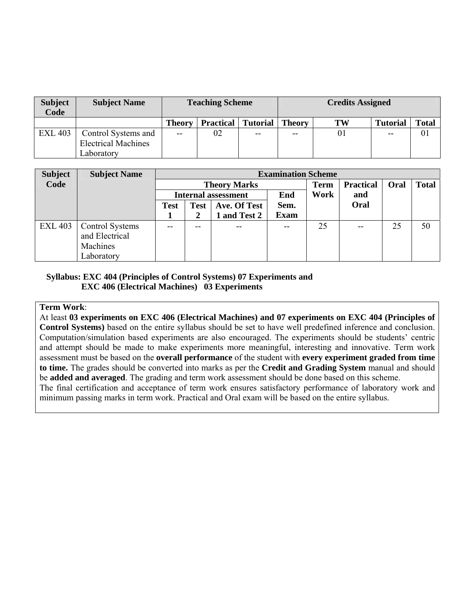| <b>Subject</b><br>Code | <b>Subject Name</b>        |               | <b>Teaching Scheme</b> |                 | <b>Credits Assigned</b> |                |                 |              |  |
|------------------------|----------------------------|---------------|------------------------|-----------------|-------------------------|----------------|-----------------|--------------|--|
|                        |                            | <b>Theory</b> | <b>Practical</b>       | <b>Tutorial</b> | Theory                  | TW             | <b>Tutorial</b> | <b>Total</b> |  |
| <b>EXL 403</b>         | Control Systems and        | $-$           | 02                     | $- -$           | $-$                     | 0 <sub>1</sub> | $-$             | 01           |  |
|                        | <b>Electrical Machines</b> |               |                        |                 |                         |                |                 |              |  |
|                        | Laboratorv                 |               |                        |                 |                         |                |                 |              |  |

| <b>Subject</b> | <b>Subject Name</b>    |             | <b>Examination Scheme</b>           |                            |       |             |                  |      |              |  |  |
|----------------|------------------------|-------------|-------------------------------------|----------------------------|-------|-------------|------------------|------|--------------|--|--|
| Code           |                        |             |                                     | <b>Theory Marks</b>        |       | <b>Term</b> | <b>Practical</b> | Oral | <b>Total</b> |  |  |
|                |                        |             |                                     | <b>Internal assessment</b> | End   | Work        | and              |      |              |  |  |
|                |                        | <b>Test</b> | Sem.<br>Ave. Of Test<br><b>Test</b> |                            |       |             | Oral             |      |              |  |  |
|                |                        |             | 2                                   | and Test 2                 | Exam  |             |                  |      |              |  |  |
| <b>EXL 403</b> | <b>Control Systems</b> |             | $- -$                               | $- -$                      | $- -$ | 25          | $- -$            | 25   | 50           |  |  |
|                | and Electrical         |             |                                     |                            |       |             |                  |      |              |  |  |
|                | Machines               |             |                                     |                            |       |             |                  |      |              |  |  |
|                | Laboratory             |             |                                     |                            |       |             |                  |      |              |  |  |

#### **Syllabus: EXC 404 (Principles of Control Systems) 07 Experiments and EXC 406 (Electrical Machines) 03 Experiments**

#### **Term Work**:

At least **03 experiments on EXC 406 (Electrical Machines) and 07 experiments on EXC 404 (Principles of Control Systems)** based on the entire syllabus should be set to have well predefined inference and conclusion. Computation/simulation based experiments are also encouraged. The experiments should be students' centric and attempt should be made to make experiments more meaningful, interesting and innovative. Term work assessment must be based on the **overall performance** of the student with **every experiment graded from time to time.** The grades should be converted into marks as per the **Credit and Grading System** manual and should be **added and averaged**. The grading and term work assessment should be done based on this scheme.

The final certification and acceptance of term work ensures satisfactory performance of laboratory work and minimum passing marks in term work. Practical and Oral exam will be based on the entire syllabus.